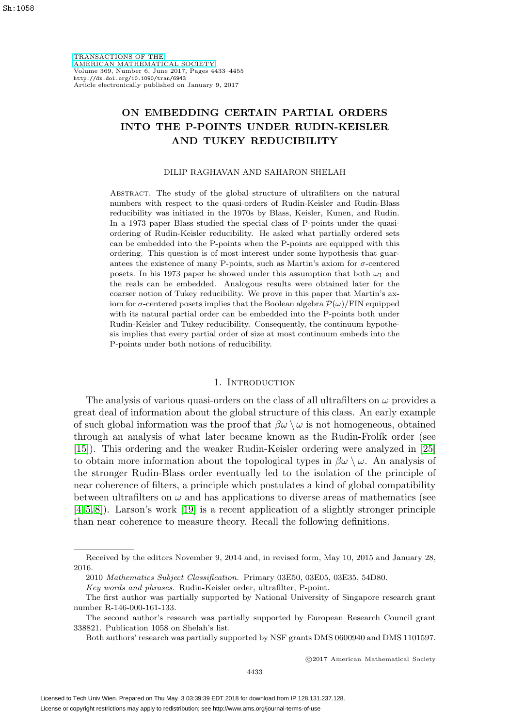[TRANSACTIONS OF THE](http://www.ams.org/tran/) [AMERICAN MATHEMATICAL SOCIETY](http://www.ams.org/tran/) Volume 369, Number 6, June 2017, Pages 4433–4455 <http://dx.doi.org/10.1090/tran/6943> Article electronically published on January 9, 2017

# **ON EMBEDDING CERTAIN PARTIAL ORDERS INTO THE P-POINTS UNDER RUDIN-KEISLER AND TUKEY REDUCIBILITY**

#### DILIP RAGHAVAN AND SAHARON SHELAH

ABSTRACT. The study of the global structure of ultrafilters on the natural numbers with respect to the quasi-orders of Rudin-Keisler and Rudin-Blass reducibility was initiated in the 1970s by Blass, Keisler, Kunen, and Rudin. In a 1973 paper Blass studied the special class of P-points under the quasiordering of Rudin-Keisler reducibility. He asked what partially ordered sets can be embedded into the P-points when the P-points are equipped with this ordering. This question is of most interest under some hypothesis that guarantees the existence of many P-points, such as Martin's axiom for  $\sigma$ -centered posets. In his 1973 paper he showed under this assumption that both  $\omega_1$  and the reals can be embedded. Analogous results were obtained later for the coarser notion of Tukey reducibility. We prove in this paper that Martin's axiom for  $\sigma$ -centered posets implies that the Boolean algebra  $\mathcal{P}(\omega)/\text{FIN}$  equipped with its natural partial order can be embedded into the P-points both under Rudin-Keisler and Tukey reducibility. Consequently, the continuum hypothesis implies that every partial order of size at most continuum embeds into the P-points under both notions of reducibility.

#### 1. Introduction

The analysis of various quasi-orders on the class of all ultrafilters on  $\omega$  provides a great deal of information about the global structure of this class. An early example of such global information was the proof that  $\beta\omega \setminus \omega$  is not homogeneous, obtained through an analysis of what later became known as the Rudin-Frolík order (see [\[15\]](#page-21-0)). This ordering and the weaker Rudin-Keisler ordering were analyzed in [\[25\]](#page-22-0) to obtain more information about the topological types in  $\beta\omega \setminus \omega$ . An analysis of the stronger Rudin-Blass order eventually led to the isolation of the principle of near coherence of filters, a principle which postulates a kind of global compatibility between ultrafilters on  $\omega$  and has applications to diverse areas of mathematics (see [\[4,](#page-21-1) [5,](#page-21-2) [8\]](#page-21-3)). Larson's work [\[19\]](#page-22-1) is a recent application of a slightly stronger principle than near coherence to measure theory. Recall the following definitions.

Received by the editors November 9, 2014 and, in revised form, May 10, 2015 and January 28, 2016.

<sup>2010</sup> Mathematics Subject Classification. Primary 03E50, 03E05, 03E35, 54D80.

Key words and phrases. Rudin-Keisler order, ultrafilter, P-point.

The first author was partially supported by National University of Singapore research grant number R-146-000-161-133.

The second author's research was partially supported by European Research Council grant 338821. Publication 1058 on Shelah's list.

Both authors' research was partially supported by NSF grants DMS 0600940 and DMS 1101597.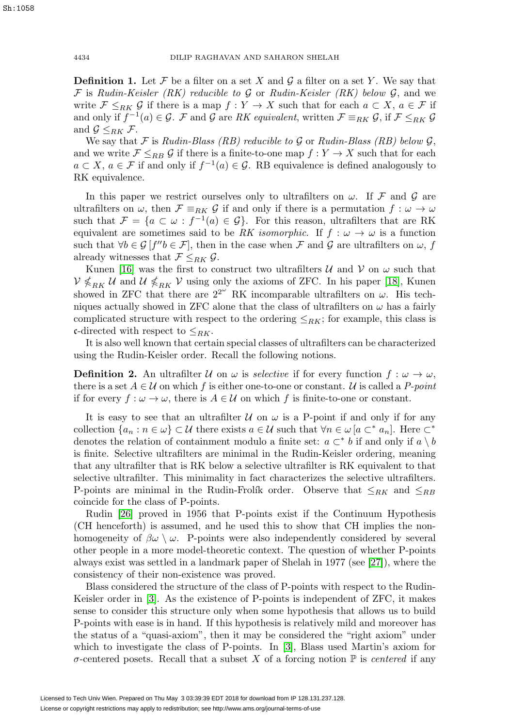**Definition 1.** Let  $\mathcal F$  be a filter on a set X and  $\mathcal G$  a filter on a set Y. We say that  $\mathcal F$  is Rudin-Keisler (RK) reducible to  $\mathcal G$  or Rudin-Keisler (RK) below  $\mathcal G$ , and we write  $\mathcal{F} \leq_{RK} \mathcal{G}$  if there is a map  $f: Y \to X$  such that for each  $a \subset X, a \in \mathcal{F}$  if and only if  $f^{-1}(a) \in \mathcal{G}$ . F and G are RK equivalent, written  $\mathcal{F} \equiv_{RK} \mathcal{G}$ , if  $\mathcal{F} \leq_{RK} \mathcal{G}$ and  $\mathcal{G} \leq_{RK} \mathcal{F}$ .

We say that  $\mathcal F$  is Rudin-Blass (RB) reducible to  $\mathcal G$  or Rudin-Blass (RB) below  $\mathcal G$ , and we write  $\mathcal{F} \leq_{RB} \mathcal{G}$  if there is a finite-to-one map  $f: Y \to X$  such that for each  $a \subset X$ ,  $a \in \mathcal{F}$  if and only if  $f^{-1}(a) \in \mathcal{G}$ . RB equivalence is defined analogously to RK equivalence.

In this paper we restrict ourselves only to ultrafilters on  $\omega$ . If F and G are ultrafilters on  $\omega$ , then  $\mathcal{F} \equiv_{RK} \mathcal{G}$  if and only if there is a permutation  $f : \omega \to \omega$ such that  $\mathcal{F} = \{a \subset \omega : f^{-1}(a) \in \mathcal{G}\}\$ . For this reason, ultrafilters that are RK equivalent are sometimes said to be RK isomorphic. If  $f : \omega \to \omega$  is a function such that  $\forall b \in \mathcal{G}$  [f'' $b \in \mathcal{F}$ ], then in the case when  $\mathcal{F}$  and  $\mathcal{G}$  are ultrafilters on  $\omega$ , f already witnesses that  $\mathcal{F} \leq_{RK} \mathcal{G}$ .

Kunen [\[16\]](#page-21-4) was the first to construct two ultrafilters  $U$  and  $V$  on  $\omega$  such that  $\mathcal{V} \nleqslant_{RK} \mathcal{U}$  and  $\mathcal{U} \nleqslant_{RK} \mathcal{V}$  using only the axioms of ZFC. In his paper [\[18\]](#page-22-2), Kunen showed in ZFC that there are  $2^{2^{\omega}}$  RK incomparable ultrafilters on  $\omega$ . His techniques actually showed in ZFC alone that the class of ultrafilters on  $\omega$  has a fairly complicated structure with respect to the ordering  $\leq_{RK}$ ; for example, this class is c-directed with respect to  $\leq_{RK}$ .

It is also well known that certain special classes of ultrafilters can be characterized using the Rudin-Keisler order. Recall the following notions.

**Definition 2.** An ultrafilter U on  $\omega$  is *selective* if for every function  $f : \omega \to \omega$ , there is a set  $A \in \mathcal{U}$  on which f is either one-to-one or constant. U is called a P-point if for every  $f : \omega \to \omega$ , there is  $A \in \mathcal{U}$  on which f is finite-to-one or constant.

It is easy to see that an ultrafilter  $U$  on  $\omega$  is a P-point if and only if for any collection  $\{a_n : n \in \omega\} \subset \mathcal{U}$  there exists  $a \in \mathcal{U}$  such that  $\forall n \in \omega \left[a \subset^* a_n\right]$ . Here  $\subset^*$ denotes the relation of containment modulo a finite set:  $a \subset^* b$  if and only if  $a \setminus b$ is finite. Selective ultrafilters are minimal in the Rudin-Keisler ordering, meaning that any ultrafilter that is RK below a selective ultrafilter is RK equivalent to that selective ultrafilter. This minimality in fact characterizes the selective ultrafilters. P-points are minimal in the Rudin-Frolík order. Observe that  $\leq_{RK}$  and  $\leq_{RB}$ coincide for the class of P-points.

Rudin [\[26\]](#page-22-3) proved in 1956 that P-points exist if the Continuum Hypothesis (CH henceforth) is assumed, and he used this to show that CH implies the nonhomogeneity of  $\beta\omega \setminus \omega$ . P-points were also independently considered by several other people in a more model-theoretic context. The question of whether P-points always exist was settled in a landmark paper of Shelah in 1977 (see [\[27\]](#page-22-4)), where the consistency of their non-existence was proved.

Blass considered the structure of the class of P-points with respect to the Rudin-Keisler order in [\[3\]](#page-21-5). As the existence of P-points is independent of ZFC, it makes sense to consider this structure only when some hypothesis that allows us to build P-points with ease is in hand. If this hypothesis is relatively mild and moreover has the status of a "quasi-axiom", then it may be considered the "right axiom" under which to investigate the class of P-points. In [\[3\]](#page-21-5), Blass used Martin's axiom for  $\sigma$ -centered posets. Recall that a subset X of a forcing notion  $\mathbb P$  is *centered* if any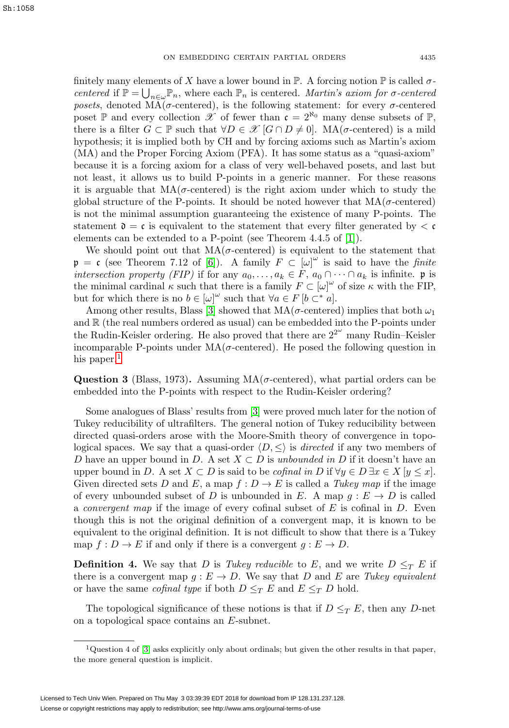finitely many elements of X have a lower bound in  $\mathbb{P}$ . A forcing notion  $\mathbb{P}$  is called  $\sigma$ centered if  $\mathbb{P} = \bigcup_{n \in \omega} \mathbb{P}_n$ , where each  $\mathbb{P}_n$  is centered. Martin's axiom for  $\sigma$ -centered posets, denoted  $MA(\sigma$ -centered), is the following statement: for every  $\sigma$ -centered poset P and every collection X of fewer than  $\mathfrak{c} = 2^{\aleph_0}$  many dense subsets of P, there is a filter  $G \subset \mathbb{P}$  such that  $\forall D \in \mathscr{X}$   $[G \cap D \neq 0]$ . MA( $\sigma$ -centered) is a mild hypothesis; it is implied both by CH and by forcing axioms such as Martin's axiom (MA) and the Proper Forcing Axiom (PFA). It has some status as a "quasi-axiom" because it is a forcing axiom for a class of very well-behaved posets, and last but not least, it allows us to build P-points in a generic manner. For these reasons it is arguable that  $MA(\sigma$ -centered) is the right axiom under which to study the global structure of the P-points. It should be noted however that  $MA(\sigma$ -centered) is not the minimal assumption guaranteeing the existence of many P-points. The statement  $\mathfrak{d} = \mathfrak{c}$  is equivalent to the statement that every filter generated by  $\lt \mathfrak{c}$ elements can be extended to a P-point (see Theorem 4.4.5 of [\[1\]](#page-21-6)).

We should point out that  $MA(\sigma$ -centered) is equivalent to the statement that  $\mathfrak{p} = \mathfrak{c}$  (see Theorem 7.12 of [\[6\]](#page-21-7)). A family  $F \subset [\omega]^\omega$  is said to have the finite intersection property (FIP) if for any  $a_0, \ldots, a_k \in F$ ,  $a_0 \cap \cdots \cap a_k$  is infinite. p is the minimal cardinal  $\kappa$  such that there is a family  $F \subset [\omega]^\omega$  of size  $\kappa$  with the FIP, but for which there is no  $b \in [\omega]^\omega$  such that  $\forall a \in F$  [ $b \subset^* a$ ].

Among other results, Blass [\[3\]](#page-21-5) showed that  $MA(\sigma\text{-centered})$  implies that both  $\omega_1$ and  $\mathbb R$  (the real numbers ordered as usual) can be embedded into the P-points under the Rudin-Keisler ordering. He also proved that there are  $2^{2^{\omega}}$  many Rudin-Keisler incomparable P-points under  $MA(\sigma$ -centered). He posed the following question in his paper. $<sup>1</sup>$  $<sup>1</sup>$  $<sup>1</sup>$ </sup>

<span id="page-2-1"></span>**Question 3** (Blass, 1973). Assuming  $MA(\sigma$ -centered), what partial orders can be embedded into the P-points with respect to the Rudin-Keisler ordering?

Some analogues of Blass' results from [\[3\]](#page-21-5) were proved much later for the notion of Tukey reducibility of ultrafilters. The general notion of Tukey reducibility between directed quasi-orders arose with the Moore-Smith theory of convergence in topological spaces. We say that a quasi-order  $\langle D, \leq \rangle$  is *directed* if any two members of D have an upper bound in D. A set  $X \subset D$  is unbounded in D if it doesn't have an upper bound in D. A set  $X \subset D$  is said to be *cofinal in* D if  $\forall y \in D \exists x \in X$  [ $y \leq x$ ]. Given directed sets D and E, a map  $f: D \to E$  is called a Tukey map if the image of every unbounded subset of D is unbounded in E. A map  $g: E \to D$  is called a *convergent map* if the image of every cofinal subset of  $E$  is cofinal in  $D$ . Even though this is not the original definition of a convergent map, it is known to be equivalent to the original definition. It is not difficult to show that there is a Tukey map  $f: D \to E$  if and only if there is a convergent  $g: E \to D$ .

**Definition 4.** We say that D is Tukey reducible to E, and we write  $D \leq_T E$  if there is a convergent map  $g : E \to D$ . We say that D and E are Tukey equivalent or have the same *cofinal type* if both  $D \leq_T E$  and  $E \leq_T D$  hold.

The topological significance of these notions is that if  $D \leq_T E$ , then any D-net on a topological space contains an E-subnet.

<span id="page-2-0"></span> $1$ Question 4 of [\[3\]](#page-21-5) asks explicitly only about ordinals; but given the other results in that paper, the more general question is implicit.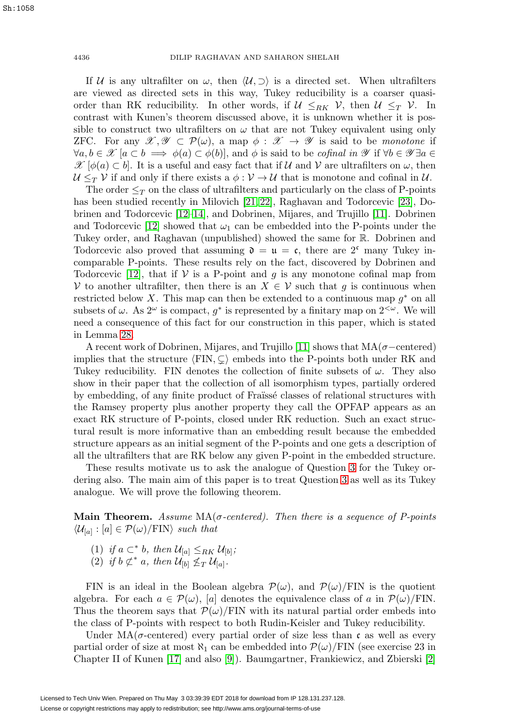If U is any ultrafilter on  $\omega$ , then  $\langle U, \supset \rangle$  is a directed set. When ultrafilters are viewed as directed sets in this way, Tukey reducibility is a coarser quasiorder than RK reducibility. In other words, if  $\mathcal{U} \leq_{RK} \mathcal{V}$ , then  $\mathcal{U} \leq_T \mathcal{V}$ . In contrast with Kunen's theorem discussed above, it is unknown whether it is possible to construct two ultrafilters on  $\omega$  that are not Tukey equivalent using only ZFC. For any  $\mathscr{X}, \mathscr{Y} \subset \mathcal{P}(\omega)$ , a map  $\phi : \mathscr{X} \to \mathscr{Y}$  is said to be monotone if  $\forall a, b \in \mathscr{X} \vert a \subset b \implies \phi(a) \subset \phi(b) \vert$ , and  $\phi$  is said to be *cofinal in*  $\mathscr{Y}$  if  $\forall b \in \mathscr{Y} \exists a \in \mathscr{C}$  $\mathscr{X}[\phi(a) \subset b]$ . It is a useful and easy fact that if  $\mathcal U$  and  $\mathcal V$  are ultrafilters on  $\omega$ , then  $U \leq_T V$  if and only if there exists a  $\phi : V \to U$  that is monotone and cofinal in U.

The order  $\leq_T$  on the class of ultrafilters and particularly on the class of P-points has been studied recently in Milovich [\[21,](#page-22-5) [22\]](#page-22-6), Raghavan and Todorcevic [\[23\]](#page-22-7), Dobrinen and Todorcevic [\[12](#page-21-8)[–14\]](#page-21-9), and Dobrinen, Mijares, and Trujillo [\[11\]](#page-21-10). Dobrinen and Todorcevic [\[12\]](#page-21-8) showed that  $\omega_1$  can be embedded into the P-points under the Tukey order, and Raghavan (unpublished) showed the same for R. Dobrinen and Todorcevic also proved that assuming  $\mathfrak{d} = \mathfrak{u} = \mathfrak{c}$ , there are  $2^{\mathfrak{c}}$  many Tukey incomparable P-points. These results rely on the fact, discovered by Dobrinen and Todorcevic [\[12\]](#page-21-8), that if  $V$  is a P-point and g is any monotone cofinal map from V to another ultrafilter, then there is an  $X \in \mathcal{V}$  such that g is continuous when restricted below X. This map can then be extended to a continuous map  $g^*$  on all subsets of  $\omega$ . As  $2^{\omega}$  is compact,  $g^*$  is represented by a finitary map on  $2^{<\omega}$ . We will need a consequence of this fact for our construction in this paper, which is stated in Lemma [28.](#page-16-0)

A recent work of Dobrinen, Mijares, and Trujillo [\[11\]](#page-21-10) shows that  $MA(\sigma$ -centered) implies that the structure  $\langle \text{FIN}, \subseteq \rangle$  embeds into the P-points both under RK and Tukey reducibility. FIN denotes the collection of finite subsets of  $\omega$ . They also show in their paper that the collection of all isomorphism types, partially ordered by embedding, of any finite product of Fraïssé classes of relational structures with the Ramsey property plus another property they call the OPFAP appears as an exact RK structure of P-points, closed under RK reduction. Such an exact structural result is more informative than an embedding result because the embedded structure appears as an initial segment of the P-points and one gets a description of all the ultrafilters that are RK below any given P-point in the embedded structure.

These results motivate us to ask the analogue of Question [3](#page-2-1) for the Tukey ordering also. The main aim of this paper is to treat Question [3](#page-2-1) as well as its Tukey analogue. We will prove the following theorem.

**Main Theorem.** Assume  $MA(\sigma$ -centered). Then there is a sequence of P-points  $\langle \mathcal{U}_{[a]} : [a] \in \mathcal{P}(\omega) / \mathrm{FIN} \rangle$  such that

- (1) if  $a \subset^* b$ , then  $\mathcal{U}_{[a]} \leq_{RK} \mathcal{U}_{[b]}$ ;
- (2) if  $b \not\subset^* a$ , then  $\mathcal{U}_{[b]} \nleq_T \mathcal{U}_{[a]}$ .

FIN is an ideal in the Boolean algebra  $\mathcal{P}(\omega)$ , and  $\mathcal{P}(\omega)/\text{FIN}$  is the quotient algebra. For each  $a \in \mathcal{P}(\omega)$ , [a] denotes the equivalence class of a in  $\mathcal{P}(\omega)/\text{FIN}$ . Thus the theorem says that  $\mathcal{P}(\omega)/\text{FIN}$  with its natural partial order embeds into the class of P-points with respect to both Rudin-Keisler and Tukey reducibility.

Under  $MA(\sigma$ -centered) every partial order of size less than c as well as every partial order of size at most  $\aleph_1$  can be embedded into  $\mathcal{P}(\omega)/\text{FIN}$  (see exercise 23 in Chapter II of Kunen [\[17\]](#page-21-11) and also [\[9\]](#page-21-12)). Baumgartner, Frankiewicz, and Zbierski [\[2\]](#page-21-13)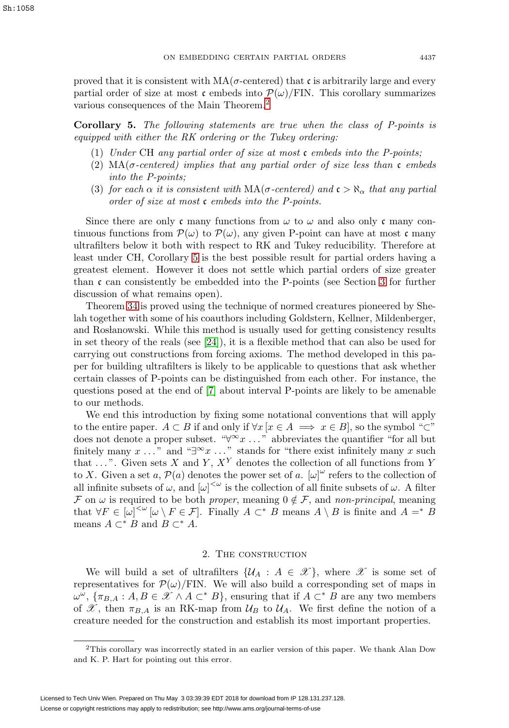<span id="page-4-1"></span>**Corollary 5.** The following statements are true when the class of P-points is equipped with either the RK ordering or the Tukey ordering:

- (1) Under CH any partial order of size at most c embeds into the P-points;
- (2) MA( $\sigma$ -centered) implies that any partial order of size less than c embeds into the P-points;
- (3) for each  $\alpha$  it is consistent with  $MA(\sigma\text{-centered})$  and  $\mathfrak{c} > \aleph_{\alpha}$  that any partial order of size at most c embeds into the P-points.

Since there are only c many functions from  $\omega$  to  $\omega$  and also only c many continuous functions from  $\mathcal{P}(\omega)$  to  $\mathcal{P}(\omega)$ , any given P-point can have at most c many ultrafilters below it both with respect to RK and Tukey reducibility. Therefore at least under CH, Corollary [5](#page-4-1) is the best possible result for partial orders having a greatest element. However it does not settle which partial orders of size greater than  $\mathfrak c$  can consistently be embedded into the P-points (see Section [3](#page-20-0) for further discussion of what remains open).

Theorem [34](#page-19-0) is proved using the technique of normed creatures pioneered by Shelah together with some of his coauthors including Goldstern, Kellner, Mildenberger, and Roslanowski. While this method is usually used for getting consistency results in set theory of the reals (see [\[24\]](#page-22-8)), it is a flexible method that can also be used for carrying out constructions from forcing axioms. The method developed in this paper for building ultrafilters is likely to be applicable to questions that ask whether certain classes of P-points can be distinguished from each other. For instance, the questions posed at the end of [\[7\]](#page-21-14) about interval P-points are likely to be amenable to our methods.

We end this introduction by fixing some notational conventions that will apply to the entire paper.  $A \subset B$  if and only if  $\forall x \, [x \in A \implies x \in B]$ , so the symbol "⊂" does not denote a proper subset. " $\forall x \dots$ " abbreviates the quantifier "for all but finitely many  $x \dots$ " and "∃∞ $x \dots$ " stands for "there exist infinitely many  $x$  such that  $\dots$ ". Given sets X and Y,  $X<sup>Y</sup>$  denotes the collection of all functions from Y to X. Given a set a,  $\mathcal{P}(a)$  denotes the power set of a.  $[\omega]^{\omega}$  refers to the collection of all infinite subsets of  $\omega$ , and  $[\omega]^{<\omega}$  is the collection of all finite subsets of  $\omega$ . A filter F on  $\omega$  is required to be both *proper*, meaning  $0 \notin \mathcal{F}$ , and *non-principal*, meaning that  $\forall F \in [\omega]^{<\omega} \, [\omega \setminus F \in \mathcal{F}]$ . Finally  $A \subset^* B$  means  $A \setminus B$  is finite and  $A =^* B$ means  $A \subset^* B$  and  $B \subset^* A$ .

# 2. The construction

We will build a set of ultrafilters  $\{\mathcal{U}_A : A \in \mathcal{X}\}\$ , where  $\mathcal X$  is some set of representatives for  $\mathcal{P}(\omega)/\text{FIN}$ . We will also build a corresponding set of maps in  $\omega^{\omega}$ ,  $\{\pi_{B,A}:A,B\in\mathscr{X}\wedge A\subset^* B\}$ , ensuring that if  $A\subset^* B$  are any two members of X, then  $\pi_{B,A}$  is an RK-map from  $\mathcal{U}_B$  to  $\mathcal{U}_A$ . We first define the notion of a creature needed for the construction and establish its most important properties.

<span id="page-4-0"></span><sup>2</sup>This corollary was incorrectly stated in an earlier version of this paper. We thank Alan Dow and K. P. Hart for pointing out this error.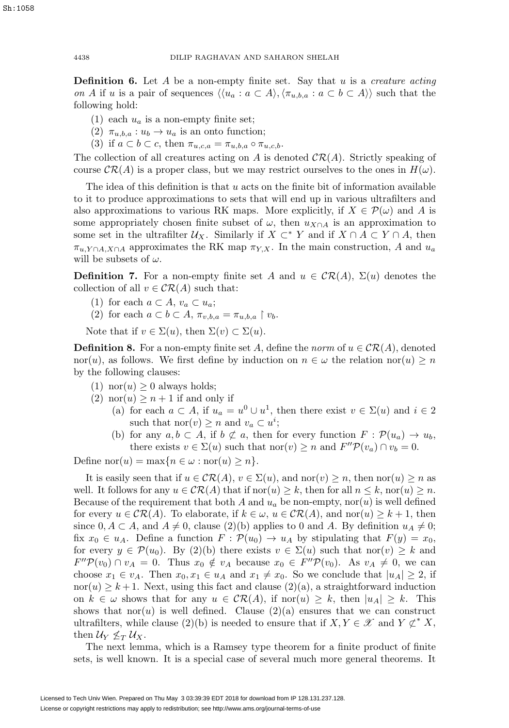**Definition 6.** Let  $A$  be a non-empty finite set. Say that  $u$  is a creature acting on A if u is a pair of sequences  $\langle \langle u_a : a \subset A \rangle, \langle \pi_{u,b,a} : a \subset b \subset A \rangle \rangle$  such that the following hold:

- (1) each  $u_a$  is a non-empty finite set;
- (2)  $\pi_{u,b,a}: u_b \to u_a$  is an onto function;
- (3) if  $a \subset b \subset c$ , then  $\pi_{u,c,a} = \pi_{u,b,a} \circ \pi_{u,c,b}$ .

The collection of all creatures acting on A is denoted  $\mathcal{CR}(A)$ . Strictly speaking of course  $\mathcal{CR}(A)$  is a proper class, but we may restrict ourselves to the ones in  $H(\omega)$ .

The idea of this definition is that  $u$  acts on the finite bit of information available to it to produce approximations to sets that will end up in various ultrafilters and also approximations to various RK maps. More explicitly, if  $X \in \mathcal{P}(\omega)$  and A is some appropriately chosen finite subset of  $\omega$ , then  $u_{X\cap A}$  is an approximation to some set in the ultrafilter  $U_X$ . Similarly if  $X \subset^* Y$  and if  $X \cap A \subset Y \cap A$ , then  $\pi_{u, Y \cap A, X \cap A}$  approximates the RK map  $\pi_{Y, X}$ . In the main construction, A and  $u_a$ will be subsets of  $\omega$ .

**Definition 7.** For a non-empty finite set A and  $u \in \mathcal{CR}(A)$ ,  $\Sigma(u)$  denotes the collection of all  $v \in \mathcal{CR}(A)$  such that:

- (1) for each  $a \subset A$ ,  $v_a \subset u_a$ ;
- (2) for each  $a \subset b \subset A$ ,  $\pi_{v,b,a} = \pi_{u,b,a} \restriction v_b$ .

Note that if  $v \in \Sigma(u)$ , then  $\Sigma(v) \subset \Sigma(u)$ .

<span id="page-5-0"></span>**Definition 8.** For a non-empty finite set A, define the norm of  $u \in \mathcal{CR}(A)$ , denoted nor(u), as follows. We first define by induction on  $n \in \omega$  the relation nor(u)  $\geq n$ by the following clauses:

- (1) nor(*u*) > 0 always holds;
- (2) nor $(u) \geq n+1$  if and only if
	- (a) for each  $a \subset A$ , if  $u_a = u^0 \cup u^1$ , then there exist  $v \in \Sigma(u)$  and  $i \in 2$ such that  $\text{nor}(v) \geq n$  and  $v_a \subset u^i$ ;
	- (b) for any  $a, b \subset A$ , if  $b \not\subset a$ , then for every function  $F : \mathcal{P}(u_a) \to u_b$ , there exists  $v \in \Sigma(u)$  such that  $\text{nor}(v) \geq n$  and  $F''\mathcal{P}(v_a) \cap v_b = 0$ .

Define  $\text{nor}(u) = \max\{n \in \omega : \text{nor}(u) \geq n\}.$ 

It is easily seen that if  $u \in \mathcal{CR}(A), v \in \Sigma(u)$ , and nor $(v) \geq n$ , then nor $(u) \geq n$  as well. It follows for any  $u \in \mathcal{CR}(A)$  that if  $\text{nor}(u) \geq k$ , then for all  $n \leq k$ ,  $\text{nor}(u) \geq n$ . Because of the requirement that both A and  $u_a$  be non-empty, nor(u) is well defined for every  $u \in \mathcal{CR}(A)$ . To elaborate, if  $k \in \omega$ ,  $u \in \mathcal{CR}(A)$ , and nor(u)  $\geq k+1$ , then since  $0, A \subset A$ , and  $A \neq 0$ , clause (2)(b) applies to 0 and A. By definition  $u_A \neq 0$ ; fix  $x_0 \in u_A$ . Define a function  $F : \mathcal{P}(u_0) \to u_A$  by stipulating that  $F(y) = x_0$ , for every  $y \in \mathcal{P}(u_0)$ . By (2)(b) there exists  $v \in \Sigma(u)$  such that nor(v)  $\geq k$  and  $F''\mathcal{P}(v_0) \cap v_A = 0$ . Thus  $x_0 \notin v_A$  because  $x_0 \in F''\mathcal{P}(v_0)$ . As  $v_A \neq 0$ , we can choose  $x_1 \in v_A$ . Then  $x_0, x_1 \in u_A$  and  $x_1 \neq x_0$ . So we conclude that  $|u_A| \geq 2$ , if nor(u)  $\geq k+1$ . Next, using this fact and clause (2)(a), a straightforward induction on  $k \in \omega$  shows that for any  $u \in \mathcal{CR}(A)$ , if nor $(u) \geq k$ , then  $|u_A| \geq k$ . This shows that nor(u) is well defined. Clause (2)(a) ensures that we can construct ultrafilters, while clause (2)(b) is needed to ensure that if  $X, Y \in \mathscr{X}$  and  $Y \not\subset^* X$ , then  $\mathcal{U}_Y \not\leq_T \mathcal{U}_X$ .

The next lemma, which is a Ramsey type theorem for a finite product of finite sets, is well known. It is a special case of several much more general theorems. It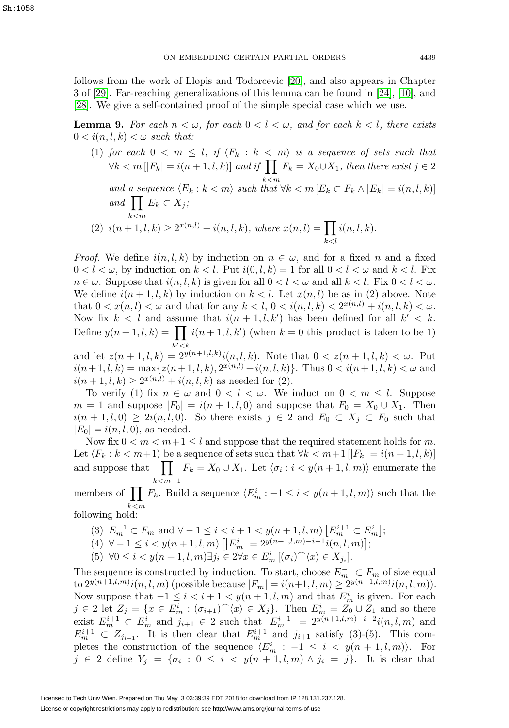follows from the work of Llopis and Todorcevic [\[20\]](#page-22-9), and also appears in Chapter 3 of [\[29\]](#page-22-10). Far-reaching generalizations of this lemma can be found in [\[24\]](#page-22-8), [\[10\]](#page-21-15), and [\[28\]](#page-22-11). We give a self-contained proof of the simple special case which we use.

<span id="page-6-0"></span>**Lemma 9.** For each  $n < \omega$ , for each  $0 < l < \omega$ , and for each  $k < l$ , there exists  $0 < i(n, l, k) < \omega$  such that:

(1) for each  $0 < m \leq l$ , if  $\langle F_k : k < m \rangle$  is a sequence of sets such that  $\forall k < m \left[|F_k| = i(n+1, l, k)\right]$  and if  $\prod F_k = X_0 \cup X_1$ , then there exist  $j \in 2$ and a sequence  $\langle E_k : k < m \rangle$  such that  $\forall k < m$   $[E_k \subset F_k \wedge |E_k| = i(n, l, k)]$ and  $\prod E_k \subset X_j$ ;  $k$  $<$ m (2)  $i(n+1, l, k) \geq 2^{x(n, l)} + i(n, l, k)$ , where  $x(n, l) = \prod$  $k< l$  $i(n, l, k)$ .

*Proof.* We define  $i(n, l, k)$  by induction on  $n \in \omega$ , and for a fixed n and a fixed  $0 < l < \omega$ , by induction on  $k < l$ . Put  $i(0, l, k) = 1$  for all  $0 < l < \omega$  and  $k < l$ . Fix  $n \in \omega$ . Suppose that  $i(n, l, k)$  is given for all  $0 < l < \omega$  and all  $k < l$ . Fix  $0 < l < \omega$ . We define  $i(n+1,l,k)$  by induction on  $k < l$ . Let  $x(n, l)$  be as in (2) above. Note that  $0 < x(n, l) < \omega$  and that for any  $k < l$ ,  $0 < i(n, l, k) < 2^{x(n, l)} + i(n, l, k) < \omega$ . Now fix  $k < l$  and assume that  $i(n + 1, l, k')$  has been defined for all  $k' < k$ . Define  $y(n+1, l, k) = \prod_i i(n+1, l, k')$  (when  $k = 0$  this product is taken to be 1) and let  $z(n+1, l, k) = 2^{y(n+1, l, k)}i(n, l, k)$ . Note that  $0 < z(n+1, l, k) < \omega$ . Put

 $i(n+1, l, k) = \max\{z(n+1, l, k), 2^{x(n, l)} + i(n, l, k)\}.$  Thus  $0 < i(n+1, l, k) < \omega$  and  $i(n+1, l, k) \geq 2^{x(n,l)} + i(n, l, k)$  as needed for (2).

To verify (1) fix  $n \in \omega$  and  $0 < l < \omega$ . We induct on  $0 < m \leq l$ . Suppose  $m = 1$  and suppose  $|F_0| = i(n + 1, l, 0)$  and suppose that  $F_0 = X_0 \cup X_1$ . Then  $i(n + 1, l, 0) \geq 2i(n, l, 0)$ . So there exists  $j \in 2$  and  $E_0 \subset X_j \subset F_0$  such that  $|E_0| = i(n, l, 0)$ , as needed.

Now fix  $0 < m < m+1 \leq l$  and suppose that the required statement holds for m. Let  $\langle F_k : k < m+1 \rangle$  be a sequence of sets such that  $\forall k < m+1$   $[|F_k| = i(n+1, l, k)]$ and suppose that  $\prod$  $k < m+1$  $F_k = X_0 \cup X_1$ . Let  $\langle \sigma_i : i < y(n+1, l, m) \rangle$  enumerate the

members of  $\prod$  $k$  $<$ m  $F_k$ . Build a sequence  $\langle E_m^i : -1 \leq i < y(n+1, l, m) \rangle$  such that the following hold:

- (3)  $E_m^{-1} \subset F_m$  and  $\forall -1 \leq i < i+1 < y(n+1, l, m)$   $[E_m^{i+1} \subset E_m^i]$ ;
- $(4) \ \forall -1 \leq i < y(n+1, l, m) \left[ \left| E_m^i \right| = 2^{y(n+1, l, m)-i-1} i(n, l, m) \right];$
- (5)  $\forall 0 \leq i < y(n+1, l, m) \exists j_i \in 2 \forall x \in E_m^i \left[ (\sigma_i)^\frown \langle x \rangle \in X_{j_i} \right]$ .

The sequence is constructed by induction. To start, choose  $E_m^{-1} \subset F_m$  of size equal to  $2^{y(n+1,l,m)}i(n, l, m)$  (possible because  $|F_m| = i(n+1, l, m) \geq 2^{y(n+1,l,m)}i(n, l, m)$ ). Now suppose that  $-1 \leq i < i+1 < y(n+1, l, m)$  and that  $E_m^i$  is given. For each  $j \in 2$  let  $Z_j = \{x \in E_m^i : (\sigma_{i+1})^\frown \langle x \rangle \in X_j\}$ . Then  $E_m^i = Z_0 \cup Z_1$  and so there exist  $E_m^{i+1} \subset E_m^i$  and  $j_{i+1} \in 2$  such that  $|E_m^{i+1}| = 2^{y(n+1,l,m)-i-2}i(n,l,m)$  and  $E_m^{i+1} \subset Z_{j_{i+1}}$ . It is then clear that  $E_m^{i+1}$  and  $j_{i+1}$  satisfy (3)-(5). This completes the construction of the sequence  $\langle E_m^i : -1 \leq i \leq y(n+1,l,m) \rangle$ . For  $j \in 2$  define  $Y_j = \{\sigma_i : 0 \leq i \leq y(n+1, l, m) \wedge j_i = j\}.$  It is clear that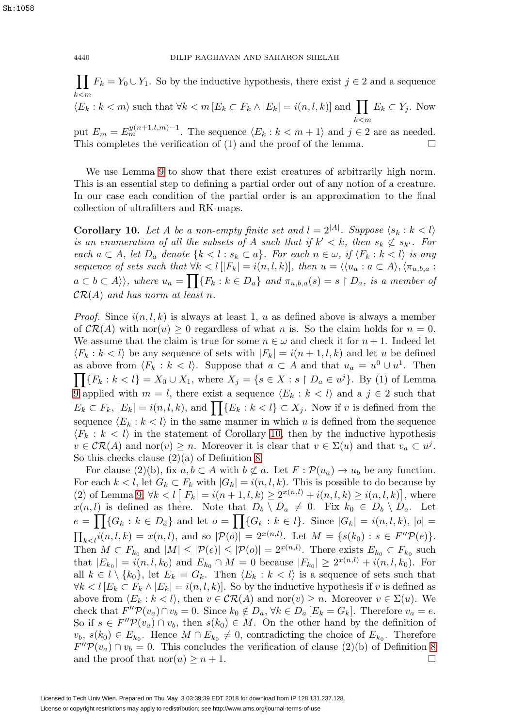$\prod F_k = Y_0 \cup Y_1$ . So by the inductive hypothesis, there exist  $j \in 2$  and a sequence  $k$  $<$ m  $\langle E_k : k < m \rangle$  such that  $\forall k < m$   $[E_k \subset F_k \wedge |E_k| = i(n, l, k)]$  and  $\prod E_k \subset Y_j$ . Now

put  $E_m = E_m^{y(n+1,l,m)-1}$ . The sequence  $\langle E_k : k < m+1 \rangle$  and  $j \in 2$  are as needed. This completes the verification of (1) and the proof of the lemma.

We use Lemma [9](#page-6-0) to show that there exist creatures of arbitrarily high norm. This is an essential step to defining a partial order out of any notion of a creature. In our case each condition of the partial order is an approximation to the final collection of ultrafilters and RK-maps.

<span id="page-7-0"></span>**Corollary 10.** Let A be a non-empty finite set and  $l = 2^{|A|}$ . Suppose  $\langle s_k : k < l \rangle$ is an enumeration of all the subsets of A such that if  $k' < k$ , then  $s_k \not\subset s_{k'}$ . For each  $a \subset A$ , let  $D_a$  denote  $\{k < l : s_k \subset a\}$ . For each  $n \in \omega$ , if  $\langle F_k : k < l \rangle$  is any sequence of sets such that  $\forall k < l \, [F_k] = i(n, l, k)$ , then  $u = \langle \langle u_a : a \subset A \rangle, \langle \pi_{u, b, a} : a \subset A \rangle$  $a \subset b \subset A \rangle \rangle$ , where  $u_a = \prod_{k} \{F_k : k \in D_a\}$  and  $\pi_{u,b,a}(s) = s \upharpoonright D_a$ , is a member of  $\mathcal{CR}(A)$  and has norm at least n.

*Proof.* Since  $i(n, l, k)$  is always at least 1, u as defined above is always a member of  $\mathcal{CR}(A)$  with nor $(u) \geq 0$  regardless of what n is. So the claim holds for  $n = 0$ . We assume that the claim is true for some  $n \in \omega$  and check it for  $n + 1$ . Indeed let  $\langle F_k : k < l \rangle$  be any sequence of sets with  $|F_k| = i(n + 1, l, k)$  and let u be defined as above from  $\langle F_k : k < l \rangle$ . Suppose that  $a \subset A$  and that  $u_a = u^0 \cup u^1$ . Then  $\prod\{F_k : k < l\} = X_0 \cup X_1$ , where  $X_j = \{s \in X : s \restriction D_a \in u^j\}$ . By (1) of Lemma [9](#page-6-0) applied with  $m = l$ , there exist a sequence  $\langle E_k : k < l \rangle$  and a  $j \in 2$  such that  $E_k \subset F_k$ ,  $|E_k| = i(n, l, k)$ , and  $\left| \right| \left\{ E_k : k < l \right\} \subset X_j$ . Now if v is defined from the sequence  $\langle E_k : k \langle k \rangle$  in the same manner in which u is defined from the sequence  $\langle F_k : k \langle k \rangle$  in the statement of Corollary [10,](#page-7-0) then by the inductive hypothesis  $v \in \mathcal{CR}(A)$  and nor(v)  $\geq n$ . Moreover it is clear that  $v \in \Sigma(u)$  and that  $v_a \subset u^j$ . So this checks clause  $(2)(a)$  of Definition [8.](#page-5-0)

For clause (2)(b), fix  $a, b \subset A$  with  $b \not\subset a$ . Let  $F : \mathcal{P}(u_a) \to u_b$  be any function. For each  $k < l$ , let  $G_k \subset F_k$  with  $|G_k| = i(n, l, k)$ . This is possible to do because by (2) of Lemma [9,](#page-6-0)  $\forall k < l \left[ |F_k| = i(n+1, l, k) \geq 2^{x(n, l)} + i(n, l, k) \geq i(n, l, k) \right]$ , where  $x(n, l)$  is defined as there. Note that  $D_b \setminus D_a \neq 0$ . Fix  $k_0 \in D_b \setminus D_a$ . Let  $e = \prod \{G_k : k \in D_a\}$  and let  $o = \prod \{G_k : k \in l\}$ . Since  $|G_k| = i(n, l, k)$ ,  $|o| =$  $\prod_{k\leq l} i(n, l, k) = x(n, l)$ , and so  $|\mathcal{P}(o)| = 2^{x(n, l)}$ . Let  $M = \{s(k_0) : s \in F''\mathcal{P}(e)\}.$ Then  $M \subset F_{k_0}$  and  $|M| \leq |\mathcal{P}(e)| \leq |\mathcal{P}(o)| = 2^{x(n,l)}$ . There exists  $E_{k_0} \subset F_{k_0}$  such that  $|E_{k_0}| = i(n, l, k_0)$  and  $E_{k_0} \cap M = 0$  because  $|F_{k_0}| \geq 2^{x(n, l)} + i(n, l, k_0)$ . For all  $k \in l \setminus \{k_0\}$ , let  $E_k = G_k$ . Then  $\langle E_k : k \langle k \rangle$  is a sequence of sets such that  $\forall k < l \left[ E_k \subset F_k \wedge E_k \right] = i(n, l, k)$ . So by the inductive hypothesis if v is defined as above from  $\langle E_k : k < l \rangle$ , then  $v \in \mathcal{CR}(A)$  and  $\text{nor}(v) \geq n$ . Moreover  $v \in \Sigma(u)$ . We check that  $F''\mathcal{P}(v_a) \cap v_b = 0$ . Since  $k_0 \notin D_a$ ,  $\forall k \in D_a [E_k = G_k]$ . Therefore  $v_a = e$ . So if  $s \in F''\mathcal{P}(v_a) \cap v_b$ , then  $s(k_0) \in M$ . On the other hand by the definition of  $v_b, s(k_0) \in E_{k_0}$ . Hence  $M \cap E_{k_0} \neq 0$ , contradicting the choice of  $E_{k_0}$ . Therefore  $F''\mathcal{P}(v_a) \cap v_b = 0$ . This concludes the verification of clause (2)(b) of Definition [8](#page-5-0) and the proof that  $\text{nor}(u) \geq n+1$ .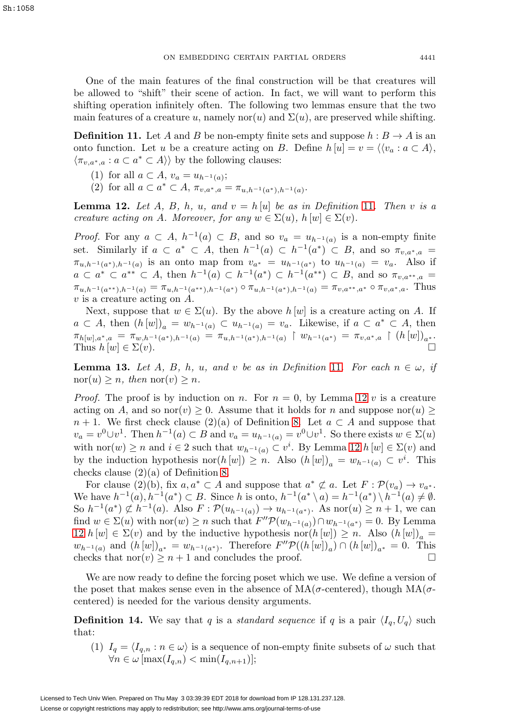One of the main features of the final construction will be that creatures will be allowed to "shift" their scene of action. In fact, we will want to perform this shifting operation infinitely often. The following two lemmas ensure that the two main features of a creature u, namely nor(u) and  $\Sigma(u)$ , are preserved while shifting.

<span id="page-8-0"></span>**Definition 11.** Let A and B be non-empty finite sets and suppose  $h : B \to A$  is an onto function. Let u be a creature acting on B. Define  $h[u] = v = \langle \langle v_a : a \subset A \rangle, \rangle$  $\langle \pi_{v,a^*,a} : a \subset a^* \subset A \rangle$  by the following clauses:

- (1) for all  $a \subset A$ ,  $v_a = u_{h^{-1}(a)}$ ;
- (2) for all  $a \subset a^* \subset A$ ,  $\pi_{v,a^*,a} = \pi_{u,h^{-1}(a^*),h^{-1}(a)}$ .

<span id="page-8-1"></span>**Lemma 12.** Let A, B, h, u, and  $v = h[u]$  be as in Definition [11](#page-8-0). Then v is a creature acting on A. Moreover, for any  $w \in \Sigma(u)$ ,  $h[w] \in \Sigma(v)$ .

*Proof.* For any  $a \subset A$ ,  $h^{-1}(a) \subset B$ , and so  $v_a = u_{h^{-1}(a)}$  is a non-empty finite set. Similarly if  $a \subset a^* \subset A$ , then  $h^{-1}(a) \subset h^{-1}(a^*) \subset B$ , and so  $\pi_{v,a^*,a} =$  $\pi_{u,h^{-1}(a^*),h^{-1}(a)}$  is an onto map from  $v_{a^*} = u_{h^{-1}(a^*)}$  to  $u_{h^{-1}(a)} = v_a$ . Also if  $a \subset a^* \subset a^{**} \subset A$ , then  $h^{-1}(a) \subset h^{-1}(a^*) \subset h^{-1}(a^{**}) \subset B$ , and so  $\pi_{v,a^{**},a} =$  $\pi_{u,h^{-1}(a^{**}),h^{-1}(a)} = \pi_{u,h^{-1}(a^{**}),h^{-1}(a^{*})} \circ \pi_{u,h^{-1}(a^{*}),h^{-1}(a)} = \pi_{v,a^{**},a^{*}} \circ \pi_{v,a^{*},a}$ . Thus v is a creature acting on A.

Next, suppose that  $w \in \Sigma(u)$ . By the above  $h[w]$  is a creature acting on A. If  $a \subset A$ , then  $(h[w])_a = w_{h^{-1}(a)} \subset u_{h^{-1}(a)} = v_a$ . Likewise, if  $a \subset a^* \subset A$ , then  $\pi_{h[w],a^*,a} \ = \ \pi_{w,h^{-1}(a^*),h^{-1}(a)} \ = \ \pi_{u,h^{-1}(a^*),h^{-1}(a)} \ \mid \ w_{h^{-1}(a^*)} \ = \ \pi_{v,a^*,a} \ \mid \ (h\,[w])_{a^*}.$ Thus  $h[w] \in \Sigma(v)$ .

<span id="page-8-3"></span>**Lemma 13.** Let A, B, h, u, and v be as in Definition [11](#page-8-0). For each  $n \in \omega$ , if  $\mathrm{nor}(u) \geq n$ , then  $\mathrm{nor}(v) \geq n$ .

*Proof.* The proof is by induction on n. For  $n = 0$ , by Lemma [12](#page-8-1) v is a creature acting on A, and so nor(v)  $\geq 0$ . Assume that it holds for n and suppose nor(u)  $\geq$  $n + 1$ . We first check clause (2)(a) of Definition [8.](#page-5-0) Let  $a \subset A$  and suppose that  $v_a = v^0 \cup v^1$ . Then  $h^{-1}(a) \subset B$  and  $v_a = u_{h^{-1}(a)} = v^0 \cup v^1$ . So there exists  $w \in \Sigma(u)$ with nor $(w) \ge n$  and  $i \in \{2\}$  such that  $w_{h^{-1}(a)} \subset v^i$ . By Lemma [12](#page-8-1)  $h[w] \in \Sigma(v)$  and by the induction hypothesis nor $(h[w]) \geq n$ . Also  $(h[w])_a = w_{h^{-1}(a)} \subset v^i$ . This checks clause (2)(a) of Definition [8.](#page-5-0)

For clause (2)(b), fix  $a, a^* \subset A$  and suppose that  $a^* \not\subset a$ . Let  $F : \mathcal{P}(v_a) \to v_{a^*}$ . We have  $h^{-1}(a)$ ,  $h^{-1}(a^*)$  ⊂ B. Since h is onto,  $h^{-1}(a^* \setminus a) = h^{-1}(a^*) \setminus h^{-1}(a) \neq \emptyset$ . So  $h^{-1}(a^*) \not\subset h^{-1}(a)$ . Also  $F: \mathcal{P}(u_{h^{-1}(a)}) \to u_{h^{-1}(a^*)}$ . As nor $(u) \geq n+1$ , we can find  $w \in \Sigma(u)$  with nor $(w) \geq n$  such that  $F''\mathcal{P}(w_{h^{-1}(a)}) \cap w_{h^{-1}(a^*)} = 0$ . By Lemma [12](#page-8-1)  $h[w] \in \Sigma(v)$  and by the inductive hypothesis nor $(h[w]) \geq n$ . Also  $(h[w])_a =$  $w_{h^{-1}(a)}$  and  $(h[w])_{a^*} = w_{h^{-1}(a^*)}$ . Therefore  $F''\mathcal{P}((h[w])_a) \cap (h[w])_{a^*} = 0$ . This checks that nor(v)  $\geq n+1$  and concludes the proof.

We are now ready to define the forcing poset which we use. We define a version of the poset that makes sense even in the absence of  $MA(\sigma$ -centered), though  $MA(\sigma$ centered) is needed for the various density arguments.

<span id="page-8-2"></span>**Definition 14.** We say that q is a *standard sequence* if q is a pair  $\langle I_q, U_q \rangle$  such that:

(1)  $I_q = \langle I_{q,n} : n \in \omega \rangle$  is a sequence of non-empty finite subsets of  $\omega$  such that  $\forall n \in \omega \left[\max(I_{q,n}) < \min(I_{q,n+1})\right];$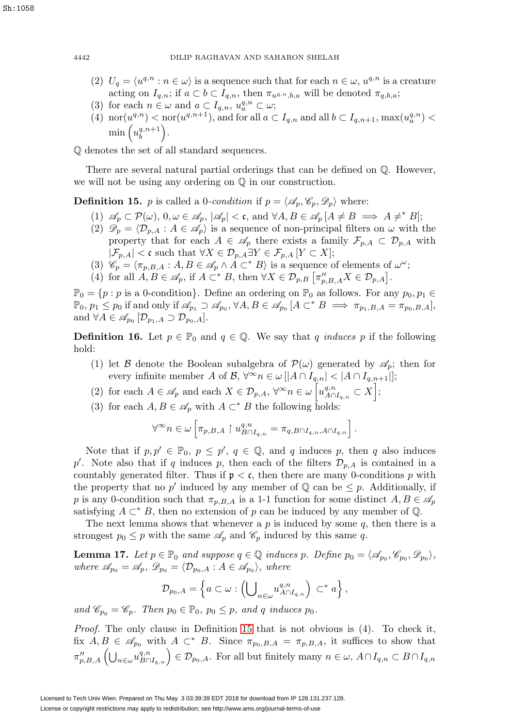- (2)  $U_q = \langle u^{q,n} : n \in \omega \rangle$  is a sequence such that for each  $n \in \omega$ ,  $u^{q,n}$  is a creature acting on  $I_{q,n}$ ; if  $a \subset b \subset I_{q,n}$ , then  $\pi_{u^{q,n},b,a}$  will be denoted  $\pi_{q,b,a}$ ;
- (3) for each  $n \in \omega$  and  $a \subset I_{q,n}$ ,  $u_a^{q,n} \subset \omega$ ;
- (4) nor $(u^{q,n}) <$  nor $(u^{q,n+1})$ , and for all  $a \subset I_{q,n}$  and all  $b \subset I_{q,n+1}$ , max $(u^{q,n}_a) <$  $\min\left(u_b^{q,n+1}\right)$ .

Q denotes the set of all standard sequences.

There are several natural partial orderings that can be defined on Q. However, we will not be using any ordering on Q in our construction.

<span id="page-9-0"></span>**Definition 15.** *p* is called a 0-*condition* if  $p = \langle \mathscr{A}_p, \mathscr{C}_p, \mathscr{D}_p \rangle$  where:

- (1)  $\mathscr{A}_p \subset \mathcal{P}(\omega)$ ,  $0, \omega \in \mathscr{A}_p$ ,  $|\mathscr{A}_p| < \mathfrak{c}$ , and  $\forall A, B \in \mathscr{A}_p$   $[A \neq B \implies A \neq^* B]$ ;
- (2)  $\mathscr{D}_p = \langle \mathcal{D}_{p,A} : A \in \mathscr{A}_p \rangle$  is a sequence of non-principal filters on  $\omega$  with the property that for each  $A \in \mathscr{A}_p$  there exists a family  $\mathcal{F}_{p,A} \subset \mathcal{D}_{p,A}$  with  $|\mathcal{F}_{p,A}| < \mathfrak{c}$  such that  $\forall X \in \mathcal{D}_{p,A} \exists Y \in \mathcal{F}_{p,A}$   $[Y \subset X];$
- (3)  $\mathscr{C}_p = \langle \pi_{p,B,A} : A, B \in \mathscr{A}_p \wedge A \subset^* B \rangle$  is a sequence of elements of  $\omega^\omega$ ;
- (4) for all  $A, B \in \mathscr{A}_p$ , if  $A \subset^* B$ , then  $\forall X \in \mathcal{D}_{p,B} [\pi''_{p,B,A} X \in \mathcal{D}_{p,A}]$ .

 $\mathbb{P}_0 = \{p : p \text{ is a } 0\text{-condition}\}.$  Define an ordering on  $\mathbb{P}_0$  as follows. For any  $p_0, p_1 \in$  $\mathbb{P}_0$ ,  $p_1 \leq p_0$  if and only if  $\mathscr{A}_{p_1} \supset \mathscr{A}_{p_0}$ ,  $\forall A, B \in \mathscr{A}_{p_0}$   $[A \subset^* B \implies \pi_{p_1,B,A} = \pi_{p_0,B,A}],$ and  $\forall A \in \mathscr{A}_{p_0}[\mathcal{D}_{p_1,A} \supset \mathcal{D}_{p_0,A}].$ 

<span id="page-9-1"></span>**Definition 16.** Let  $p \in \mathbb{P}_0$  and  $q \in \mathbb{Q}$ . We say that q induces p if the following hold:

- (1) let B denote the Boolean subalgebra of  $\mathcal{P}(\omega)$  generated by  $\mathcal{A}_p$ ; then for every infinite member A of B,  $\forall^{\infty} n \in \omega \left[ |A \cap I_{q,n}| < |A \cap I_{q,n+1}| \right];$
- (2) for each  $A \in \mathscr{A}_p$  and each  $X \in \mathcal{D}_{p,A}$ ,  $\forall^\infty n \in \omega \left[ u_{A \cap I_{q,n}}^{q,n} \subset X \right]$ ;
- (3) for each  $A, B \in \mathscr{A}_p$  with  $A \subset^* B$  the following holds:

$$
\forall^{\infty} n \in \omega \left[ \pi_{p,B,A} \upharpoonright u^{q,n}_{B \cap I_{q,n}} = \pi_{q,B \cap I_{q,n},A \cap I_{q,n}} \right].
$$

Note that if  $p, p' \in \mathbb{P}_0$ ,  $p \leq p'$ ,  $q \in \mathbb{Q}$ , and q induces p, then q also induces p'. Note also that if q induces p, then each of the filters  $\mathcal{D}_{p,A}$  is contained in a countably generated filter. Thus if  $p < c$ , then there are many 0-conditions p with the property that no p' induced by any member of  $\mathbb Q$  can be  $\leq p$ . Additionally, if p is any 0-condition such that  $\pi_{p,B,A}$  is a 1-1 function for some distinct  $A, B \in \mathscr{A}_p$ satisfying  $A \subset K$ , then no extension of p can be induced by any member of  $\mathbb{Q}$ .

The next lemma shows that whenever a  $p$  is induced by some  $q$ , then there is a strongest  $p_0 \leq p$  with the same  $\mathscr{A}_p$  and  $\mathscr{C}_p$  induced by this same q.

<span id="page-9-2"></span>**Lemma 17.** Let  $p \in \mathbb{P}_0$  and suppose  $q \in \mathbb{Q}$  induces p. Define  $p_0 = \langle \mathscr{A}_{p_0}, \mathscr{C}_{p_0}, \mathscr{D}_{p_0} \rangle$ , where  $\mathscr{A}_{p_0} = \mathscr{A}_p, \mathscr{D}_{p_0} = \langle \mathcal{D}_{p_0, A} : A \in \mathscr{A}_{p_0} \rangle$ , where

$$
\mathcal{D}_{p_0,A} = \left\{ a \subset \omega : \left( \bigcup_{n \in \omega} u_{A \cap I_{q,n}}^{q,n} \right) \subset^* a \right\},\
$$

and  $\mathscr{C}_{p_0} = \mathscr{C}_p$ . Then  $p_0 \in \mathbb{P}_0$ ,  $p_0 \leq p$ , and q induces  $p_0$ .

Proof. The only clause in Definition [15](#page-9-0) that is not obvious is  $(4)$ . To check it, fix  $A, B \in \mathscr{A}_{p_0}$  with  $A \subset^* B$ . Since  $\pi_{p_0,B,A} = \pi_{p,B,A}$ , it suffices to show that  $\pi_{p,B,A}''\left(\bigcup_{n\in\omega}u_{B\cap I_{q,n}}^{q,n}\right)\in\mathcal{D}_{p_0,A}.$  For all but finitely many  $n\in\omega, A\cap I_{q,n}\subset B\cap I_{q,n}$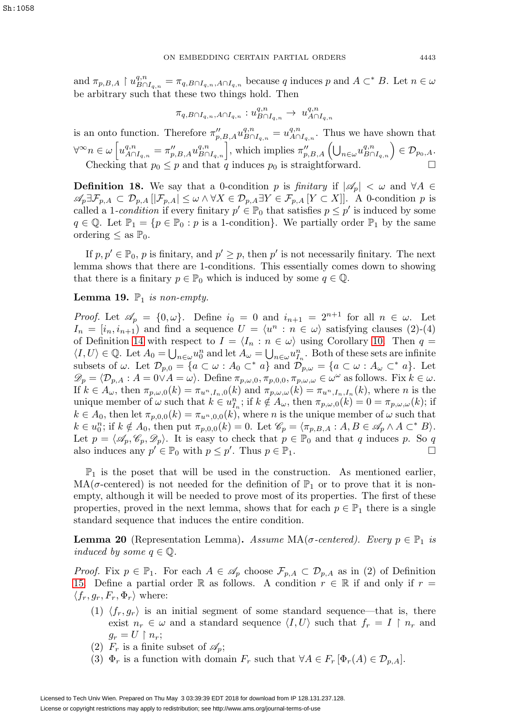and  $\pi_{p,B,A} \restriction u^{q,n}_{B \cap I_{q,n}} = \pi_{q,B \cap I_{q,n},A \cap I_{q,n}}$  because q induces p and  $A \subset^* B$ . Let  $n \in \omega$ be arbitrary such that these two things hold. Then

$$
\pi_{q,B\cap I_{q,n},A\cap I_{q,n}}:u_{B\cap I_{q,n}}^{q,n}\rightarrow \ u_{A\cap I_{q,n}}^{q,n}
$$

is an onto function. Therefore  $\pi_{p,B,A}'' u_{B\cap I_{q,n}}^{q,n} = u_{A\cap I_{q,n}}^{q,n}$ . Thus we have shown that  $\forall^{\infty} n \in \omega \left[ u_{A \cap I_{q,n}}^{q,n} = \pi_{p,B,A}'' u_{B \cap I_{q,n}}^{q,n} \right],$  which implies  $\pi_{p,B,A}'' \left( \bigcup_{n \in \omega} u_{B \cap I_{q,n}}^{q,n} \right) \in \mathcal{D}_{p_0,A}.$ Checking that  $p_0 \leq p$  and that q induces  $p_0$  is straightforward.

**Definition 18.** We say that a 0-condition p is finitary if  $|\mathscr{A}_p| < \omega$  and  $\forall A \in$  $\mathscr{A}_p \exists \mathcal{F}_{p,A} \subset \mathcal{D}_{p,A} |[\mathcal{F}_{p,A}] \leq \omega \wedge \forall X \in \mathcal{D}_{p,A} \exists Y \in \mathcal{F}_{p,A}[Y \subset X]|.$  A 0-condition p is called a 1-condition if every finitary  $p' \in \mathbb{P}_0$  that satisfies  $p \leq p'$  is induced by some  $q \in \mathbb{Q}$ . Let  $\mathbb{P}_1 = \{p \in \mathbb{P}_0 : p \text{ is a 1-condition}\}\$ . We partially order  $\mathbb{P}_1$  by the same ordering  $\leq$  as  $\mathbb{P}_0$ .

If  $p, p' \in \mathbb{P}_0$ , p is finitary, and  $p' \geq p$ , then p' is not necessarily finitary. The next lemma shows that there are 1-conditions. This essentially comes down to showing that there is a finitary  $p \in \mathbb{P}_0$  which is induced by some  $q \in \mathbb{Q}$ .

## **Lemma 19.**  $\mathbb{P}_1$  is non-empty.

*Proof.* Let  $\mathscr{A}_p = \{0, \omega\}$ . Define  $i_0 = 0$  and  $i_{n+1} = 2^{n+1}$  for all  $n \in \omega$ . Let  $I_n = [i_n, i_{n+1}]$  and find a sequence  $U = \langle u^n : n \in \omega \rangle$  satisfying clauses (2)-(4) of Definition [14](#page-8-2) with respect to  $I = \langle I_n : n \in \omega \rangle$  using Corollary [10.](#page-7-0) Then  $q =$  $\langle I, U \rangle \in \mathbb{Q}$ . Let  $A_0 = \bigcup_{n \in \omega} u_0^n$  and let  $A_\omega = \bigcup_{n \in \omega} u_{I_n}^n$ . Both of these sets are infinite subsets of  $\omega$ . Let  $\mathcal{D}_{p,0} = \{a \subset \omega : A_0 \subset^* a\}$  and  $\mathcal{D}_{p,\omega} = \{a \subset \omega : A_{\omega} \subset^* a\}$ . Let  $\mathscr{D}_p = \langle \mathcal{D}_{p,A} : A = 0 \vee A = \omega \rangle$ . Define  $\pi_{p,\omega,0}, \pi_{p,0,0}, \pi_{p,\omega,\omega} \in \omega^\omega$  as follows. Fix  $k \in \omega$ . If  $k \in A_\omega$ , then  $\pi_{p,\omega,0}(k) = \pi_{u^n,I_n,0}(k)$  and  $\pi_{p,\omega,\omega}(k) = \pi_{u^n,I_n,I_n}(k)$ , where n is the unique member of  $\omega$  such that  $k \in u_{I_n}^n$ ; if  $k \notin A_\omega$ , then  $\pi_{p,\omega,0}(k) = 0 = \pi_{p,\omega,\omega}(k)$ ; if  $k \in A_0$ , then let  $\pi_{p,0,0}(k) = \pi_{u^2,0,0}(k)$ , where *n* is the unique member of  $\omega$  such that  $k \in u_0^n$ ; if  $k \notin A_0$ , then put  $\pi_{p,0,0}(k) = 0$ . Let  $\mathscr{C}_p = \langle \pi_{p,B,A} : A, B \in \mathscr{A}_p \wedge A \subset^* B \rangle$ . Let  $p = \langle \mathscr{A}_p, \mathscr{C}_p, \mathscr{D}_p \rangle$ . It is easy to check that  $p \in \mathbb{P}_0$  and that q induces p. So q also induces any  $p' \in \mathbb{P}_0$  with  $p \leq p'$ . Thus  $p \in \mathbb{P}_1$ .

 $\mathbb{P}_1$  is the poset that will be used in the construction. As mentioned earlier,  $MA(\sigma$ -centered) is not needed for the definition of  $\mathbb{P}_1$  or to prove that it is nonempty, although it will be needed to prove most of its properties. The first of these properties, proved in the next lemma, shows that for each  $p \in \mathbb{P}_1$  there is a single standard sequence that induces the entire condition.

<span id="page-10-0"></span>**Lemma 20** (Representation Lemma). Assume  $MA(\sigma$ -centered). Every  $p \in \mathbb{P}_1$  is induced by some  $q \in \mathbb{Q}$ .

*Proof.* Fix  $p \in \mathbb{P}_1$ . For each  $A \in \mathcal{A}_p$  choose  $\mathcal{F}_{p,A} \subset \mathcal{D}_{p,A}$  as in (2) of Definition [15.](#page-9-0) Define a partial order R as follows. A condition  $r \in \mathbb{R}$  if and only if  $r =$  $\langle f_r, g_r, F_r, \Phi_r \rangle$  where:

- (1)  $\langle f_r, g_r \rangle$  is an initial segment of some standard sequence—that is, there exist  $n_r \in \omega$  and a standard sequence  $\langle I, U \rangle$  such that  $f_r = I \upharpoonright n_r$  and  $g_r = U \restriction n_r;$
- (2)  $F_r$  is a finite subset of  $\mathscr{A}_p$ ;
- (3)  $\Phi_r$  is a function with domain  $F_r$  such that  $\forall A \in F_r$   $[\Phi_r(A) \in \mathcal{D}_{p,A}]$ .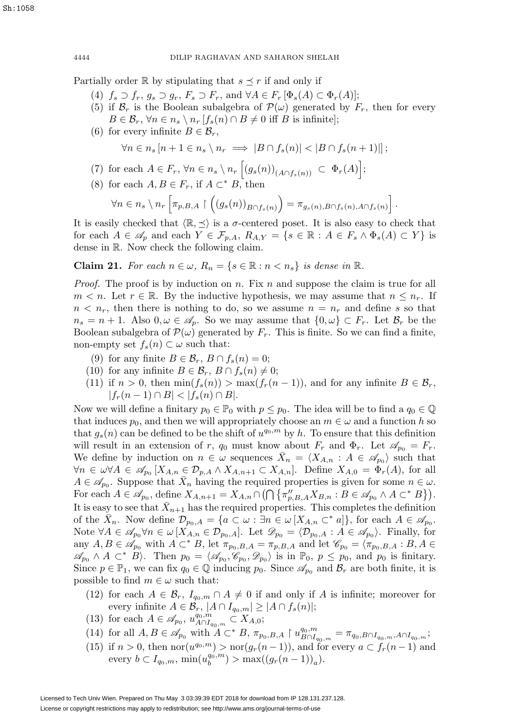Partially order R by stipulating that  $s \preceq r$  if and only if

- (4)  $f_s \supset f_r, g_s \supset g_r, F_s \supset F_r$ , and  $\forall A \in F_r$   $[\Phi_s(A) \subset \Phi_r(A)]$ ;
- (5) if  $\mathcal{B}_r$  is the Boolean subalgebra of  $\mathcal{P}(\omega)$  generated by  $F_r$ , then for every  $B \in \mathcal{B}_r$ ,  $\forall n \in n_s \setminus n_r$   $[f_s(n) \cap B \neq 0$  iff B is infinite];
- (6) for every infinite  $B \in \mathcal{B}_r$ ,

$$
\forall n \in n_s \left[ n + 1 \in n_s \setminus n_r \implies |B \cap f_s(n)| < |B \cap f_s(n+1)| \right];
$$

- (7) for each  $A \in F_r$ ,  $\forall n \in n_s \setminus n_r \left[ (g_s(n))_{(A \cap f_s(n))} \subset \Phi_r(A) \right];$
- (8) for each  $A, B \in F_r$ , if  $A \subset^* B$ , then

$$
\forall n \in n_s \setminus n_r \left[ \pi_{p,B,A} \upharpoonright \left( (g_s(n))_{B \cap f_s(n)} \right) = \pi_{g_s(n),B \cap f_s(n), A \cap f_s(n)} \right].
$$

It is easily checked that  $\langle \mathbb{R}, \preceq \rangle$  is a  $\sigma$ -centered poset. It is also easy to check that for each  $A \in \mathscr{A}_p$  and each  $Y \in \mathcal{F}_{p,A}$ ,  $R_{A,Y} = \{s \in \mathbb{R} : A \in F_s \land \Phi_s(A) \subset Y\}$  is dense in R. Now check the following claim.

**Claim 21.** For each  $n \in \omega$ ,  $R_n = \{s \in \mathbb{R} : n < n_s\}$  is dense in  $\mathbb{R}$ .

*Proof.* The proof is by induction on  $n$ . Fix  $n$  and suppose the claim is true for all  $m < n$ . Let  $r \in \mathbb{R}$ . By the inductive hypothesis, we may assume that  $n \leq n_r$ . If  $n < n_r$ , then there is nothing to do, so we assume  $n = n_r$  and define s so that  $n_s = n + 1$ . Also  $0, \omega \in \mathscr{A}_n$ . So we may assume that  $\{0, \omega\} \subset F_r$ . Let  $\mathcal{B}_r$  be the Boolean subalgebra of  $\mathcal{P}(\omega)$  generated by  $F_r$ . This is finite. So we can find a finite, non-empty set  $f_s(n) \subset \omega$  such that:

- (9) for any finite  $B \in \mathcal{B}_r$ ,  $B \cap f_s(n) = 0$ ;
- (10) for any infinite  $B \in \mathcal{B}_r$ ,  $B \cap f_s(n) \neq 0$ ;
- (11) if  $n > 0$ , then  $\min(f_s(n)) > \max(f_r(n-1))$ , and for any infinite  $B \in \mathcal{B}_r$ ,  $|f_r(n-1) \cap B| < |f_s(n) \cap B|$ .

Now we will define a finitary  $p_0 \in \mathbb{P}_0$  with  $p \leq p_0$ . The idea will be to find a  $q_0 \in \mathbb{Q}$ that induces  $p_0$ , and then we will appropriately choose an  $m \in \omega$  and a function h so that  $g_s(n)$  can be defined to be the shift of  $u^{q_0,m}$  by h. To ensure that this definition will result in an extension of r,  $q_0$  must know about  $F_r$  and  $\Phi_r$ . Let  $\mathscr{A}_{p_0} = F_r$ . We define by induction on  $n \in \omega$  sequences  $\bar{X}_n = \langle X_{A,n} : A \in \mathscr{A}_{p_0} \rangle$  such that  $\forall n \in \mathcal{A} \in \mathcal{A}_{p_0}[X_{A,n} \in \mathcal{D}_{p,A} \wedge X_{A,n+1} \subset X_{A,n}].$  Define  $X_{A,0} = \Phi_r(A)$ , for all  $A \in \mathscr{A}_{p_0}$ . Suppose that  $X_n$  having the required properties is given for some  $n \in \omega$ . For each  $A \in \mathscr{A}_{p_0}$ , define  $X_{A,n+1} = X_{A,n} \cap \left(\bigcap \{\pi''_{p,B,A}X_{B,n} : B \in \mathscr{A}_{p_0} \land A \subset^* B\}\right)$ . It is easy to see that  $X_{n+1}$  has the required properties. This completes the definition of the  $X_n$ . Now define  $\mathcal{D}_{p_0,A} = \{a \subset \omega : \exists n \in \omega \ [X_{A,n} \subset^* a]\},\$ for each  $A \in \mathscr{A}_{p_0}$ . Note  $\forall A \in \mathscr{A}_{p_0} \forall n \in \omega \left[X_{A,n} \in \mathcal{D}_{p_0,A}\right]$ . Let  $\mathscr{D}_{p_0} = \langle \mathcal{D}_{p_0,A} : A \in \mathscr{A}_{p_0} \rangle$ . Finally, for any  $A, B \in \mathscr{A}_{p_0}$  with  $A \subset^* B$ , let  $\pi_{p_0, B, A} = \pi_{p, B, A}$  and let  $\mathscr{C}_{p_0} = \langle \pi_{p_0, B, A} : B, A \in$  $\mathscr{A}_{p_0} \wedge A \subset^* B$ . Then  $p_0 = \langle \mathscr{A}_{p_0}, \mathscr{C}_{p_0}, \mathscr{D}_{p_0} \rangle$  is in  $\mathbb{P}_0, p \leq p_0$ , and  $p_0$  is finitary. Since  $p \in \mathbb{P}_1$ , we can fix  $q_0 \in \mathbb{Q}$  inducing  $p_0$ . Since  $\mathscr{A}_{p_0}$  and  $\mathscr{B}_r$  are both finite, it is possible to find  $m \in \omega$  such that:

- (12) for each  $A \in \mathcal{B}_r$ ,  $I_{q_0,m} \cap A \neq 0$  if and only if A is infinite; moreover for every infinite  $A \in \mathcal{B}_r$ ,  $|A \cap I_{q_0,m}| \geq |A \cap f_s(n)|$ ;
- (13) for each  $A \in \mathscr{A}_{p_0}$ ,  $u_{A \cap I_{q_0,m}}^{q_0,m} \subset X_{A,0};$
- (14) for all  $A, B \in \mathscr{A}_{p_0}$  with  $A \subset^* B$ ,  $\pi_{p_0,B,A} \upharpoonright u^{q_0,m}_{B \cap I_{q_0,m}} = \pi_{q_0,B \cap I_{q_0,m},A \cap I_{q_0,m}};$
- (15) if  $n > 0$ , then nor $(u^{q_0,m}) > \text{nor}(q_r(n-1))$ , and for every  $a \subset f_r(n-1)$  and every  $b \subset I_{q_0,m}$ ,  $\min(u_b^{q_0,m}) > \max((g_r(n-1))_a)$ .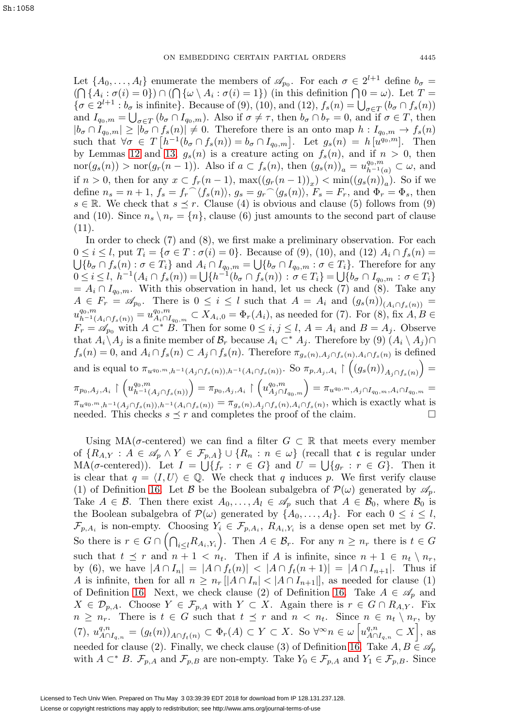Let  $\{A_0,\ldots,A_l\}$  enumerate the members of  $\mathscr{A}_{p_0}$ . For each  $\sigma \in 2^{l+1}$  define  $b_{\sigma} =$  $(\bigcap \{A_i : \sigma(i) = 0\}) \cap (\bigcap \{\omega \setminus A_i : \sigma(i) = 1\})$  (in this definition  $\bigcap 0 = \omega$ ). Let  $T =$  $\{\sigma \in 2^{l+1} : b_{\sigma} \text{ is infinite}\}.$  Because of (9), (10), and (12),  $f_s(n) = \bigcup_{\sigma \in T} (b_{\sigma} \cap f_s(n))$ and  $I_{q_0,m} = \bigcup_{\sigma \in T} (b_\sigma \cap I_{q_0,m})$ . Also if  $\sigma \neq \tau$ , then  $b_\sigma \cap b_\tau = 0$ , and if  $\sigma \in T$ , then  $|b_{\sigma} \cap I_{q_0,m}| \geq |b_{\sigma} \cap f_s(n)| \neq 0$ . Therefore there is an onto map  $h: I_{q_0,m} \to f_s(n)$ such that  $\forall \sigma \in T$   $[h^{-1}(b_{\sigma} \cap f_s(n)) = b_{\sigma} \cap I_{q_0,m}]$ . Let  $g_s(n) = h[u^{q_0,m}]$ . Then by Lemmas [12](#page-8-1) and [13,](#page-8-3)  $g_s(n)$  is a creature acting on  $f_s(n)$ , and if  $n > 0$ , then nor $(g_s(n)) > \text{nor}(g_r(n-1))$ . Also if  $a \subset f_s(n)$ , then  $(g_s(n))_a = u_{h^{-1}(a)}^{q_0,m} \subset \omega$ , and if  $n > 0$ , then for any  $x \subset f_r(n-1)$ ,  $\max((g_r(n-1))_r) < \min((g_s(n))_q)$ . So if we define  $n_s = n + 1$ ,  $f_s = f_r^{\frown} \langle f_s(n) \rangle$ ,  $g_s = g_r^{\frown} \langle g_s(n) \rangle$ ,  $F_s = F_r$ , and  $\Phi_r = \Phi_s$ , then  $s \in \mathbb{R}$ . We check that  $s \preceq r$ . Clause (4) is obvious and clause (5) follows from (9) and (10). Since  $n_s \setminus n_r = \{n\}$ , clause (6) just amounts to the second part of clause (11).

In order to check (7) and (8), we first make a preliminary observation. For each  $0 \leq i \leq l$ , put  $T_i = \{\sigma \in T : \sigma(i) = 0\}$ . Because of (9), (10), and (12)  $A_i \cap f_s(n) =$  $\bigcup \{b_{\sigma} \cap f_s(n) : \sigma \in T_i\}$  and  $A_i \cap I_{q_0,m} = \bigcup \{b_{\sigma} \cap I_{q_0,m} : \sigma \in T_i\}$ . Therefore for any  $0 \leq i \leq l, \ h^{-1}(A_i \cap f_s(n)) = \bigcup \{h^{-1}(b_{\sigma} \cap f_s(n)) : \sigma \in T_i\} = \bigcup \{b_{\sigma} \cap I_{q_0,m} : \sigma \in T_i\}$  $= A_i \cap I_{q_0,m}$ . With this observation in hand, let us check (7) and (8). Take any  $A \in F_r = \mathscr{A}_{p_0}$ . There is  $0 \leq i \leq l$  such that  $A = A_i$  and  $(g_s(n))_{(A_i \cap f_s(n))}$  $u_{h^{-1}(A_i \cap f_s(n))}^{q_0, m} = u_{A_i \cap I_{q_0, m}}^{q_0, m} \subset X_{A_i, 0} = \Phi_r(A_i)$ , as needed for (7). For (8), fix  $A, B \in$  $F_r = \mathscr{A}_{p_0}$  with  $A \subset^* B$ . Then for some  $0 \leq i, j \leq l$ ,  $A = A_i$  and  $B = A_j$ . Observe that  $A_i \setminus A_j$  is a finite member of  $\mathcal{B}_r$  because  $A_i \subset^* A_j$ . Therefore by  $(9) (A_i \setminus A_j) \cap$  $f_s(n) = 0$ , and  $A_i \cap f_s(n) \subset A_j \cap f_s(n)$ . Therefore  $\pi_{g_s(n), A_j \cap f_s(n), A_i \cap f_s(n)}$  is defined and is equal to  $\pi_{u^{q_0,m},h^{-1}(A_j \cap f_s(n)),h^{-1}(A_i \cap f_s(n))}$ . So  $\pi_{p,A_j,A_i} \restriction ((g_s(n))_{A_j \cap f_s(n)}) =$  $\pi_{p_0,A_j,A_i}\restriction \left( u^ {q_0,m}_{h^{-1}(A_j\cap f_s(n))} \right) = \pi_{p_0,A_j,A_i}\restriction \left( u^{q_0,m}_{A_j\cap I_{q_0,m}} \right) = \pi_{u^{q_0,m},A_j\cap I_{q_0,m},A_i\cap I_{q_0,m}} =$  $\pi_{u^{q_0,m},h^{-1}(A_j \cap f_s(n)),h^{-1}(A_i \cap f_s(n))} = \pi_{g_s(n),A_j \cap f_s(n),A_i \cap f_s(n)}$ , which is exactly what is needed. This checks  $s \prec r$  and completes the proof of the claim needed. This checks  $s \preceq r$  and completes the proof of the claim.

Using  $MA(\sigma\text{-centered})$  we can find a filter  $G \subset \mathbb{R}$  that meets every member of  $\{R_{A,Y}: A \in \mathscr{A}_p \wedge Y \in \mathcal{F}_{p,A}\} \cup \{R_n : n \in \omega\}$  (recall that c is regular under  $MA(\sigma\text{-centered}))$ . Let  $I = \bigcup \{f_r : r \in G\}$  and  $U = \bigcup \{g_r : r \in G\}$ . Then it is clear that  $q = \langle I, U \rangle \in \mathbb{Q}$ . We check that q induces p. We first verify clause (1) of Definition [16.](#page-9-1) Let B be the Boolean subalgebra of  $\mathcal{P}(\omega)$  generated by  $\mathscr{A}_p$ . Take  $A \in \mathcal{B}$ . Then there exist  $A_0, \ldots, A_l \in \mathscr{A}_p$  such that  $A \in \mathcal{B}_0$ , where  $\mathcal{B}_0$  is the Boolean subalgebra of  $\mathcal{P}(\omega)$  generated by  $\{A_0,\ldots,A_l\}$ . For each  $0 \leq i \leq l$ ,  $\mathcal{F}_{p,A_i}$  is non-empty. Choosing  $Y_i \in \mathcal{F}_{p,A_i}, R_{A_i,Y_i}$  is a dense open set met by G. So there is  $r \in G \cap (\bigcap_{i \leq l} R_{A_i,Y_i})$ . Then  $A \in \mathcal{B}_r$ . For any  $n \geq n_r$  there is  $t \in G$ such that  $t \preceq r$  and  $n + 1 < n_t$ . Then if A is infinite, since  $n + 1 \in n_t \setminus n_r$ , by (6), we have  $|A \cap I_n| = |A \cap f_t(n)| < |A \cap f_t(n+1)| = |A \cap I_{n+1}|$ . Thus if A is infinite, then for all  $n \geq n_r \left[ |A \cap I_n| < |A \cap I_{n+1}| \right]$ , as needed for clause (1) of Definition [16.](#page-9-1) Next, we check clause (2) of Definition 16. Take  $A \in \mathscr{A}_p$  and  $X \in \mathcal{D}_{p,A}$ . Choose  $Y \in \mathcal{F}_{p,A}$  with  $Y \subset X$ . Again there is  $r \in G \cap R_{A,Y}$ . Fix  $n \geq n_r$ . There is  $t \in G$  such that  $t \preceq r$  and  $n \lt n_t$ . Since  $n \in n_t \setminus n_r$ , by (7),  $u_{A\cap I_{q,n}}^{q,n} = (g_t(n))_{A\cap f_t(n)} \subset \Phi_r(A) \subset Y \subset X$ . So  $\forall^\infty n \in \omega \left[ u_{A\cap I_{q,n}}^{q,n} \subset X \right]$ , as needed for clause (2). Finally, we check clause (3) of Definition [16.](#page-9-1) Take  $A, B \in \mathscr{A}_p$ with  $A \subset K^* B$ .  $\mathcal{F}_{p,A}$  and  $\mathcal{F}_{p,B}$  are non-empty. Take  $Y_0 \in \mathcal{F}_{p,A}$  and  $Y_1 \in \mathcal{F}_{p,B}$ . Since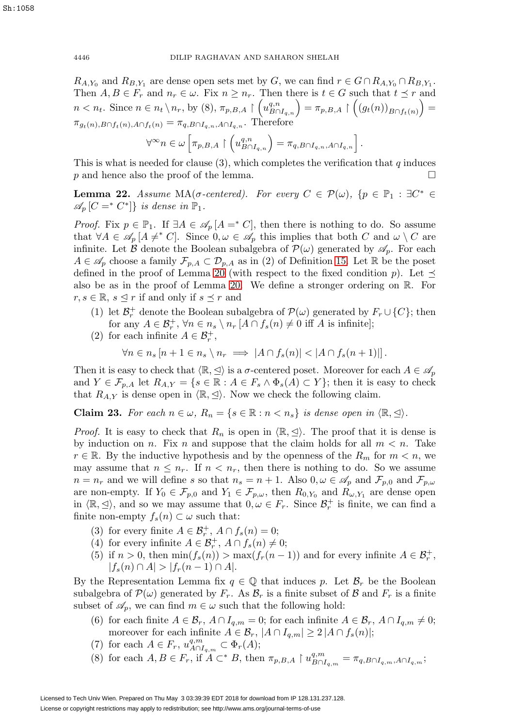$R_{A,Y_0}$  and  $R_{B,Y_1}$  are dense open sets met by G, we can find  $r \in G \cap R_{A,Y_0} \cap R_{B,Y_1}$ . Then  $A, B \in F_r$  and  $n_r \in \omega$ . Fix  $n \geq n_r$ . Then there is  $t \in G$  such that  $t \preceq r$  and  $n < n_t$ . Since  $n \in n_t \setminus n_r$ , by (8),  $\pi_{p,B,A} \upharpoonright (u_{B \cap I_{q,n}}^{q,n}) = \pi_{p,B,A} \upharpoonright ((g_t(n))_{B \cap f_t(n)}) =$  $\pi_{g_t(n),B\cap f_t(n),A\cap f_t(n)} = \pi_{q,B\cap I_{q,n},A\cap I_{q,n}}$ . Therefore

$$
\forall^{\infty} n \in \omega \left[ \pi_{p,B,A} \upharpoonright \left( u_{B \cap I_{q,n}}^{q,n} \right) = \pi_{q,B \cap I_{q,n},A \cap I_{q,n}} \right].
$$

This is what is needed for clause  $(3)$ , which completes the verification that q induces  $p$  and hence also the proof of the lemma.  $\hfill \Box$ 

<span id="page-13-0"></span>**Lemma 22.** Assume MA( $\sigma$ -centered). For every  $C \in \mathcal{P}(\omega)$ ,  $\{p \in \mathbb{P}_1 : \exists C^* \in$  $\mathscr{A}_n[C =^* C^*]$  is dense in  $\mathbb{P}_1$ .

*Proof.* Fix  $p \in \mathbb{P}_1$ . If  $\exists A \in \mathcal{A}_p[A = ^*C]$ , then there is nothing to do. So assume that  $\forall A \in \mathscr{A}_p[A \neq^* C]$ . Since  $0, \omega \in \mathscr{A}_p$  this implies that both C and  $\omega \setminus C$  are infinite. Let B denote the Boolean subalgebra of  $\mathcal{P}(\omega)$  generated by  $\mathscr{A}_p$ . For each  $A \in \mathscr{A}_p$  choose a family  $\mathcal{F}_{p,A} \subset \mathcal{D}_{p,A}$  as in (2) of Definition [15.](#page-9-0) Let R be the poset defined in the proof of Lemma [20](#page-10-0) (with respect to the fixed condition p). Let  $\preceq$ also be as in the proof of Lemma [20.](#page-10-0) We define a stronger ordering on R. For  $r, s \in \mathbb{R}, s \leq r$  if and only if  $s \leq r$  and

- (1) let  $\mathcal{B}_r^+$  denote the Boolean subalgebra of  $\mathcal{P}(\omega)$  generated by  $F_r \cup \{C\}$ ; then for any  $A \in \mathcal{B}_r^+$ ,  $\forall n \in n_s \setminus n_r$   $[A \cap f_s(n) \neq 0$  iff A is infinite];
- (2) for each infinite  $A \in \mathcal{B}_r^+$ ,

$$
\forall n \in n_s \left[ n + 1 \in n_s \setminus n_r \implies |A \cap f_s(n)| < |A \cap f_s(n+1)| \right].
$$

Then it is easy to check that  $\langle \mathbb{R}, \preceq \rangle$  is a  $\sigma$ -centered poset. Moreover for each  $A \in \mathscr{A}_p$ and  $Y \in \mathcal{F}_{p,A}$  let  $R_{A,Y} = \{s \in \mathbb{R} : A \in \mathcal{F}_s \land \Phi_s(A) \subset Y\}$ ; then it is easy to check that  $R_{A,Y}$  is dense open in  $\langle \mathbb{R}, \leq \rangle$ . Now we check the following claim.

**Claim 23.** For each  $n \in \omega$ ,  $R_n = \{s \in \mathbb{R} : n < n_s\}$  is dense open in  $\langle \mathbb{R}, \preceq \rangle$ .

*Proof.* It is easy to check that  $R_n$  is open in  $\langle \mathbb{R}, \leq \rangle$ . The proof that it is dense is by induction on n. Fix n and suppose that the claim holds for all  $m < n$ . Take  $r \in \mathbb{R}$ . By the inductive hypothesis and by the openness of the  $R_m$  for  $m < n$ , we may assume that  $n \leq n_r$ . If  $n \leq n_r$ , then there is nothing to do. So we assume  $n = n_r$  and we will define s so that  $n_s = n + 1$ . Also  $0, \omega \in \mathscr{A}_p$  and  $\mathcal{F}_{p,0}$  and  $\mathcal{F}_{p,\omega}$ are non-empty. If  $Y_0 \in \mathcal{F}_{p,0}$  and  $Y_1 \in \mathcal{F}_{p,\omega}$ , then  $R_{0,Y_0}$  and  $R_{\omega,Y_1}$  are dense open in  $\langle \mathbb{R}, \leq \rangle$ , and so we may assume that  $0, \omega \in F_r$ . Since  $\mathcal{B}_r^+$  is finite, we can find a finite non-empty  $f_s(n) \subset \omega$  such that:

- (3) for every finite  $A \in \mathcal{B}_r^+$ ,  $A \cap f_s(n) = 0$ ;
- (4) for every infinite  $A \in \mathcal{B}_r^+$ ,  $A \cap f_s(n) \neq 0$ ;
- (5) if  $n > 0$ , then  $\min(f_s(n)) > \max(f_r(n-1))$  and for every infinite  $A \in \mathcal{B}_r^+$ ,  $|f_s(n) \cap A| > |f_r(n-1) \cap A|.$

By the Representation Lemma fix  $q \in \mathbb{Q}$  that induces p. Let  $\mathcal{B}_r$  be the Boolean subalgebra of  $\mathcal{P}(\omega)$  generated by  $F_r$ . As  $\mathcal{B}_r$  is a finite subset of  $\mathcal{B}$  and  $F_r$  is a finite subset of  $\mathscr{A}_p$ , we can find  $m \in \omega$  such that the following hold:

- (6) for each finite  $A \in \mathcal{B}_r$ ,  $A \cap I_{q,m} = 0$ ; for each infinite  $A \in \mathcal{B}_r$ ,  $A \cap I_{q,m} \neq 0$ ; moreover for each infinite  $A \in \mathcal{B}_r$ ,  $|A \cap I_{q,m}| \geq 2 |A \cap I_s(n)|$ ;
- (7) for each  $A \in F_r$ ,  $u_{A \cap I_{q,m}}^{q,m} \subset \Phi_r(A)$ ;
- (8) for each  $A, B \in F_r$ , if  $A \subset^* B$ , then  $\pi_{p,B,A} \upharpoonright u^{q,m}_{B \cap I_{q,m}} = \pi_{q,B \cap I_{q,m},A \cap I_{q,m}}$ ;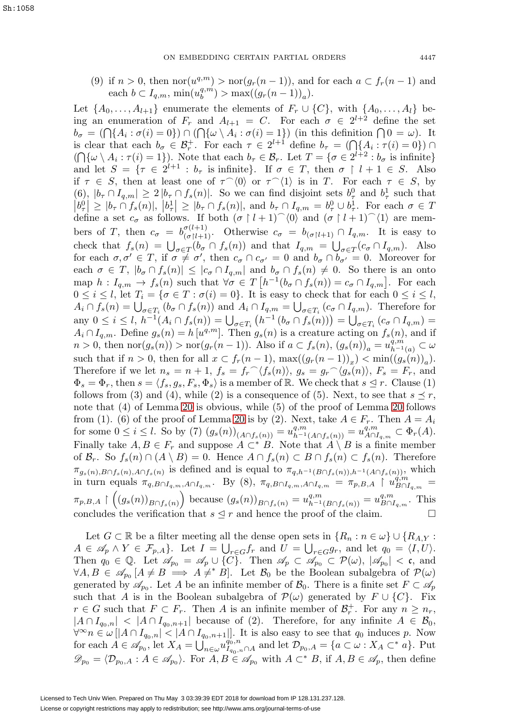(9) if  $n > 0$ , then  $\text{nor}(u^{q,m}) > \text{nor}(g_r(n-1))$ , and for each  $a \subset f_r(n-1)$  and each  $b \subset I_{q,m}$ ,  $\min(u_b^{q,m}) > \max((g_r(n-1))_a)$ .

Let  $\{A_0,\ldots,A_{l+1}\}\$ enumerate the elements of  $F_r\cup\{C\}$ , with  $\{A_0,\ldots,A_l\}\$  being an enumeration of  $F_r$  and  $A_{l+1} = C$ . For each  $\sigma \in 2^{l+2}$  define the set  $b_{\sigma} = (\bigcap \{A_i : \sigma(i) = 0\}) \cap (\bigcap \{\omega \setminus A_i : \sigma(i) = 1\})$  (in this definition  $\bigcap 0 = \omega$ ). It is clear that each  $b_{\sigma} \in \mathcal{B}_r^+$ . For each  $\tau \in 2^{l+1}$  define  $b_{\tau} = (\bigcap \{A_i : \tau(i) = 0\}) \cap$  $(\bigcap \{\omega \setminus A_i : \tau(i) = 1\}).$  Note that each  $b_\tau \in \mathcal{B}_r$ . Let  $T = \{\sigma \in 2^{l+2} : b_\sigma \text{ is infinite}\}\$ and let  $S = \{ \tau \in 2^{l+1} : b_{\tau} \text{ is infinite} \}.$  If  $\sigma \in T$ , then  $\sigma \restriction l+1 \in S$ . Also if  $\tau \in S$ , then at least one of  $\tau^{\wedge}(0)$  or  $\tau^{\wedge}(1)$  is in T. For each  $\tau \in S$ , by (6),  $|b_\tau \cap I_{q,m}| \geq 2 |b_\tau \cap f_s(n)|$ . So we can find disjoint sets  $b_\tau^0$  and  $b_\tau^1$  such that  $|b_{\tau}^{0}| \geq |b_{\tau} \cap f_s(n)|, |b_{\tau}^{1}| \geq |b_{\tau} \cap f_s(n)|, \text{ and } b_{\tau} \cap I_{q,m} = b_{\tau}^{0} \cup b_{\tau}^{1}.$  For each  $\sigma \in T$ define a set  $c_{\sigma}$  as follows. If both  $(\sigma \upharpoonright l+1)$   $\hat{ }$  (0) and  $(\sigma \upharpoonright l+1)$   $\hat{ }$  (1) are members of T, then  $c_{\sigma} = b_{(\sigma l l + 1)}^{\sigma(l+1)}$  $\begin{array}{ll} \sigma_{(l+1)} & \text{Otherwise} \ c_{\sigma} = b_{(\sigma|l+1)} \cap I_{q,m}. \end{array}$  It is easy to check that  $f_s(n) = \bigcup_{\sigma \in T} (b_{\sigma} \cap f_s(n))$  and that  $I_{q,m} = \bigcup_{\sigma \in T} (c_{\sigma} \cap I_{q,m})$ . Also for each  $\sigma, \sigma' \in T$ , if  $\sigma \neq \sigma'$ , then  $c_{\sigma} \cap c_{\sigma'} = 0$  and  $b_{\sigma} \cap b_{\sigma'} = 0$ . Moreover for each  $\sigma \in T$ ,  $|b_{\sigma} \cap f_s(n)| \leq |c_{\sigma} \cap I_{q,m}|$  and  $b_{\sigma} \cap f_s(n) \neq 0$ . So there is an onto map  $h: I_{q,m} \to f_s(n)$  such that  $\forall \sigma \in T \left[ h^{-1}(b_\sigma \cap f_s(n)) = c_\sigma \cap I_{q,m} \right]$ . For each  $0 \leq i \leq l$ , let  $T_i = \{ \sigma \in T : \sigma(i) = 0 \}$ . It is easy to check that for each  $0 \leq i \leq l$ ,  $A_i \cap f_s(n) = \bigcup_{\sigma \in T_i} (b_\sigma \cap f_s(n))$  and  $A_i \cap I_{q,m} = \bigcup_{\sigma \in T_i} (c_\sigma \cap I_{q,m})$ . Therefore for  $\text{any } 0 \leq i \leq l, \ h^{-1}(A_i \cap f_s(n)) = \bigcup_{\sigma \in T_i} \left( h^{-1} \left( b_\sigma \cap f_s(n) \right) \right) = \bigcup_{\sigma \in T_i} \left( c_\sigma \cap I_{q,m} \right) =$  $A_i \cap I_{q,m}$ . Define  $g_s(n) = h[u^{q,m}]$ . Then  $g_s(n)$  is a creature acting on  $f_s(n)$ , and if  $n > 0$ , then  $\text{nor}(g_s(n)) > \text{nor}(g_r(n-1))$ . Also if  $a \subset f_s(n)$ ,  $(g_s(n))_a = u_{h^{-1}(a)}^{q,m} \subset \omega$ such that if  $n > 0$ , then for all  $x \subset f_r(n-1)$ ,  $\max((g_r(n-1))_x) < \min((g_s(n))_a)$ . Therefore if we let  $n_s = n + 1$ ,  $f_s = f_r^{\frown}\langle f_s(n) \rangle$ ,  $g_s = g_r^{\frown}\langle g_s(n) \rangle$ ,  $F_s = F_r$ , and  $\Phi_s = \Phi_r$ , then  $s = \langle f_s, g_s, F_s, \Phi_s \rangle$  is a member of R. We check that  $s \leq r$ . Clause (1) follows from (3) and (4), while (2) is a consequence of (5). Next, to see that  $s \preceq r$ , note that (4) of Lemma [20](#page-10-0) is obvious, while (5) of the proof of Lemma [20](#page-10-0) follows from (1). (6) of the proof of Lemma [20](#page-10-0) is by (2). Next, take  $A \in F_r$ . Then  $A = A_i$ for some  $0 \le i \le l$ . So by (7)  $(g_s(n))_{(A \cap f_s(n))} = u^{q,m}_{h^{-1}(A \cap f_s(n))} = u^{q,m}_{A \cap I_{q,m}} \subset \Phi_r(A)$ . Finally take  $A, B \in F_r$  and suppose  $A \subset^* B$ . Note that  $\overline{A \setminus B}$  is a finite member of  $\mathcal{B}_r$ . So  $f_s(n) \cap (A \setminus B) = 0$ . Hence  $A \cap f_s(n) \subset B \cap f_s(n) \subset f_s(n)$ . Therefore  $\pi_{g_s(n),B\cap f_s(n),A\cap f_s(n)}$  is defined and is equal to  $\pi_{q,h^{-1}(B\cap f_s(n)),h^{-1}(A\cap f_s(n))}$ , which in turn equals  $\pi_{q, B \cap I_{q,m}, A \cap I_{q,m}}$ . By (8),  $\pi_{q, B \cap I_{q,m}, A \cap I_{q,m}} = \pi_{p, B, A} \upharpoonright u_{B \cap I_{q,m}}^{q, m} =$  $\pi_{p,B,A}\upharpoonright ((g_s(n))_{B\cap f_s(n)})$  because  $(g_s(n))_{B\cap f_s(n)} = u^{q,m}_{h^{-1}(B\cap f_s(n))} = u^{q,m}_{B\cap I_{q,m}}$ . This concludes the verification that  $s \leq r$  and hence the proof of the claim.

Let  $G \subset \mathbb{R}$  be a filter meeting all the dense open sets in  $\{R_n : n \in \omega\} \cup \{R_{A,Y} :$  $A \in \mathscr{A}_p \wedge Y \in \mathcal{F}_{p,A}$ . Let  $I = \bigcup_{r \in G} f_r$  and  $U = \bigcup_{r \in G} g_r$ , and let  $q_0 = \langle I, U \rangle$ . Then  $q_0 \in \mathbb{Q}$ . Let  $\mathscr{A}_{p_0} = \mathscr{A}_p \cup \{C\}$ . Then  $\mathscr{A}_p \subset \mathscr{A}_{p_0} \subset \mathcal{P}(\omega)$ ,  $|\mathscr{A}_{p_0}| < \mathfrak{c}$ , and  $\forall A, B \in \mathscr{A}_{p_0}[A \neq B \implies A \neq^* B]$ . Let  $\mathcal{B}_0$  be the Boolean subalgebra of  $\mathcal{P}(\omega)$ generated by  $\mathscr{A}_{p_0}$ . Let A be an infinite member of  $\mathcal{B}_0$ . There is a finite set  $F \subset \mathscr{A}_p$ such that A is in the Boolean subalgebra of  $\mathcal{P}(\omega)$  generated by  $F \cup \{C\}$ . Fix  $r \in G$  such that  $F \subset F_r$ . Then A is an infinite member of  $\mathcal{B}_r^+$ . For any  $n \geq n_r$ ,  $|A \cap I_{q_0,n}| < |A \cap I_{q_0,n+1}|$  because of (2). Therefore, for any infinite  $A \in \mathcal{B}_0$ ,  $\forall^{\infty} n \in \omega \left[ |A \cap I_{q_0,n}| < |A \cap I_{q_0,n+1}| \right]$ . It is also easy to see that  $q_0$  induces p. Now for each  $A \in \mathscr{A}_{p_0}$ , let  $X_A = \bigcup_{n \in \omega}^{\infty} u_{I_{q_0,n} \cap A}^{q_0,n}$  and let  $D_{p_0,A} = \{a \subset \omega : X_A \subset^* a\}$ . Put  $\mathscr{D}_{p_0} = \langle \mathcal{D}_{p_0,A} : A \in \mathscr{A}_{p_0} \rangle$ . For  $A, B \in \mathscr{A}_{p_0}$  with  $A \subset^* B$ , if  $A, B \in \mathscr{A}_p$ , then define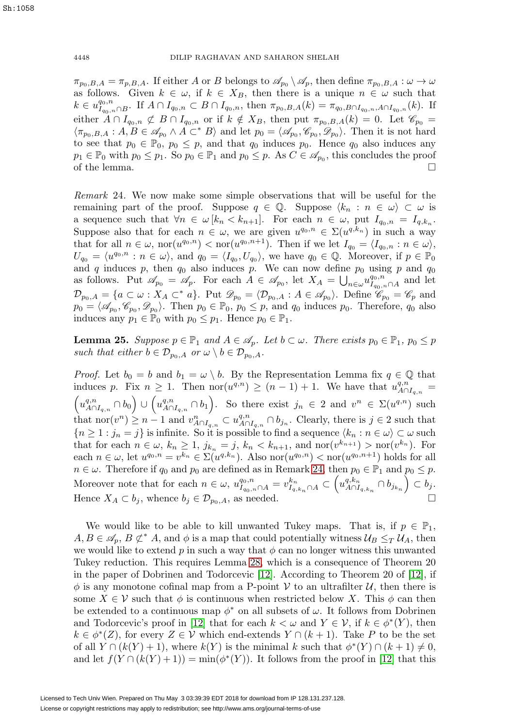4448 DILIP RAGHAVAN AND SAHARON SHELAH

 $\pi_{p_0,B,A} = \pi_{p,B,A}.$  If either A or B belongs to  $\mathscr{A}_{p_0} \setminus \mathscr{A}_p$ , then define  $\pi_{p_0,B,A} : \omega \to \omega$ as follows. Given  $k \in \omega$ , if  $k \in X_B$ , then there is a unique  $n \in \omega$  such that  $k \in u_{I_{q_0,n} \cap B}^{q_0,n}$ . If  $A \cap I_{q_0,n} \subset B \cap I_{q_0,n}$ , then  $\pi_{p_0,B,A}(k) = \pi_{q_0,B \cap I_{q_0,n},A \cap I_{q_0,n}}(k)$ . If either  $A \cap I_{q_0,n} \not\subset B \cap I_{q_0,n}$  or if  $k \notin X_B$ , then put  $\pi_{p_0,B,A}(k) = 0$ . Let  $\mathscr{C}_{p_0} =$  $\langle \pi_{p_0,B,A} : A, B \in \mathscr{A}_{p_0} \wedge A \subset^* B \rangle$  and let  $p_0 = \langle \mathscr{A}_{p_0}, \mathscr{C}_{p_0}, \mathscr{D}_{p_0} \rangle$ . Then it is not hard to see that  $p_0 \in \mathbb{P}_0$ ,  $p_0 \leq p$ , and that  $q_0$  induces  $p_0$ . Hence  $q_0$  also induces any  $p_1 \in \mathbb{P}_0$  with  $p_0 \leq p_1$ . So  $p_0 \in \mathbb{P}_1$  and  $p_0 \leq p$ . As  $C \in \mathscr{A}_{p_0}$ , this concludes the proof of the lemma.

<span id="page-15-0"></span>Remark 24. We now make some simple observations that will be useful for the remaining part of the proof. Suppose  $q \in \mathbb{Q}$ . Suppose  $\langle k_n : n \in \omega \rangle \subset \omega$  is a sequence such that  $\forall n \in \omega [k_n < k_{n+1}]$ . For each  $n \in \omega$ , put  $I_{q_0,n} = I_{q,k_n}$ . Suppose also that for each  $n \in \omega$ , we are given  $u^{q_0,n} \in \Sigma(u^{q,k_n})$  in such a way that for all  $n \in \omega$ ,  $\text{nor}(u^{q_0,n}) < \text{nor}(u^{q_0,n+1})$ . Then if we let  $I_{q_0} = \langle I_{q_0,n} : n \in \omega \rangle$ ,  $U_{q_0} = \langle u^{q_0,n} : n \in \omega \rangle$ , and  $q_0 = \langle I_{q_0}, U_{q_0} \rangle$ , we have  $q_0 \in \mathbb{Q}$ . Moreover, if  $p \in \mathbb{P}_0$ and q induces p, then  $q_0$  also induces p. We can now define  $p_0$  using p and  $q_0$ as follows. Put  $\mathscr{A}_{p_0} = \mathscr{A}_p$ . For each  $A \in \mathscr{A}_{p_0}$ , let  $X_A = \bigcup_{n \in \omega} u_{I_{q_0,n} \cap A}^{q_0,n}$  and let  $\mathcal{D}_{p_0,A} = \{a \subset \omega : X_A \subset^* a\}.$  Put  $\mathcal{D}_{p_0} = \langle \mathcal{D}_{p_0,A} : A \in \mathscr{A}_{p_0} \rangle.$  Define  $\mathscr{C}_{p_0} = \mathscr{C}_p$  and  $p_0 = \langle \mathscr{A}_{p_0}, \mathscr{C}_{p_0}, \mathscr{D}_{p_0} \rangle$ . Then  $p_0 \in \mathbb{P}_0$ ,  $p_0 \leq p$ , and  $q_0$  induces  $p_0$ . Therefore,  $q_0$  also induces any  $p_1 \in \mathbb{P}_0$  with  $p_0 \leq p_1$ . Hence  $p_0 \in \mathbb{P}_1$ .

<span id="page-15-1"></span>**Lemma 25.** Suppose  $p \in \mathbb{P}_1$  and  $A \in \mathcal{A}_p$ . Let  $b \subset \omega$ . There exists  $p_0 \in \mathbb{P}_1$ ,  $p_0 \leq p$ such that either  $b \in \mathcal{D}_{p_0,A}$  or  $\omega \setminus b \in \mathcal{D}_{p_0,A}$ .

*Proof.* Let  $b_0 = b$  and  $b_1 = \omega \setminus b$ . By the Representation Lemma fix  $q \in \mathbb{Q}$  that induces p. Fix  $n \geq 1$ . Then  $\text{nor}(u^{q,n}) \geq (n-1) + 1$ . We have that  $u^{q,n}_{A \cap I_{q,n}} =$ induces p. Fix  $n \geq 1$ . Then  $\text{nor}(u^{q,n}) \geq (n-1) + 1$ . We have that  $u^{q,n}_{A \cap I_{q,n}} = (u^{q,n}_{A \cap I_{q,n}} \cap b_0) \cup (u^{q,n}_{A \cap I_{q,n}} \cap b_1)$ . So there exist  $j_n \in 2$  and  $v^n \in \Sigma(u^{q,n})$  such that  $\text{nor}(v^n) \geq n-1$  and  $v^n_{A \cap I_{q,n}} \subset u^{q,n}_{A \cap I_{q,n}} \cap b_{j_n}$ . Clearly, there is  $j \in 2$  such that  ${n \geq 1 : j_n = j}$  is infinite. So it is possible to find a sequence  $\langle k_n : n \in \omega \rangle \subset \omega$  such that for each  $n \in \omega$ ,  $k_n \ge 1$ ,  $j_{k_n} = j$ ,  $k_n < k_{n+1}$ , and  $\text{nor}(v^{k_{n+1}}) > \text{nor}(v^{k_n})$ . For each  $n \in \omega$ , let  $u^{q_0,n} = v^{k_n} \in \Sigma(u^{q,k_n})$ . Also nor $(u^{q_0,n}) < \text{nor}(u^{q_0,n+1})$  holds for all  $n \in \omega$ . Therefore if  $q_0$  and  $p_0$  are defined as in Remark [24,](#page-15-0) then  $p_0 \in \mathbb{P}_1$  and  $p_0 \leq p$ . Moreover note that for each  $n \in \omega$ ,  $u_{I_{q_0,n} \cap A}^{q_0,n} = v_{I_{q,k_n} \cap A}^{k_n} \subset \left(u_{A \cap I_{q,k_n}}^{q,k_n} \cap b_{j_{k_n}}\right) \subset b_j$ . Hence  $X_A \subset b_j$ , whence  $b_j \in \mathcal{D}_{p_0,A}$ , as needed.

We would like to be able to kill unwanted Tukey maps. That is, if  $p \in \mathbb{P}_1$ ,  $A, B \in \mathscr{A}_p$ ,  $B \not\subset^* A$ , and  $\phi$  is a map that could potentially witness  $\mathcal{U}_B \leq_T \mathcal{U}_A$ , then we would like to extend p in such a way that  $\phi$  can no longer witness this unwanted Tukey reduction. This requires Lemma [28,](#page-16-0) which is a consequence of Theorem 20 in the paper of Dobrinen and Todorcevic [\[12\]](#page-21-8). According to Theorem 20 of [\[12\]](#page-21-8), if  $\phi$  is any monotone cofinal map from a P-point V to an ultrafilter U, then there is some  $X \in V$  such that  $\phi$  is continuous when restricted below X. This  $\phi$  can then be extended to a continuous map  $\phi^*$  on all subsets of  $\omega$ . It follows from Dobrinen and Todorcevic's proof in [\[12\]](#page-21-8) that for each  $k < \omega$  and  $Y \in \mathcal{V}$ , if  $k \in \phi^*(Y)$ , then  $k \in \phi^*(Z)$ , for every  $Z \in \mathcal{V}$  which end-extends  $Y \cap (k+1)$ . Take P to be the set of all  $Y \cap (k(Y) + 1)$ , where  $k(Y)$  is the minimal k such that  $\phi^*(Y) \cap (k+1) \neq 0$ , and let  $f(Y \cap (k(Y) + 1)) = \min(\phi^*(Y))$ . It follows from the proof in [\[12\]](#page-21-8) that this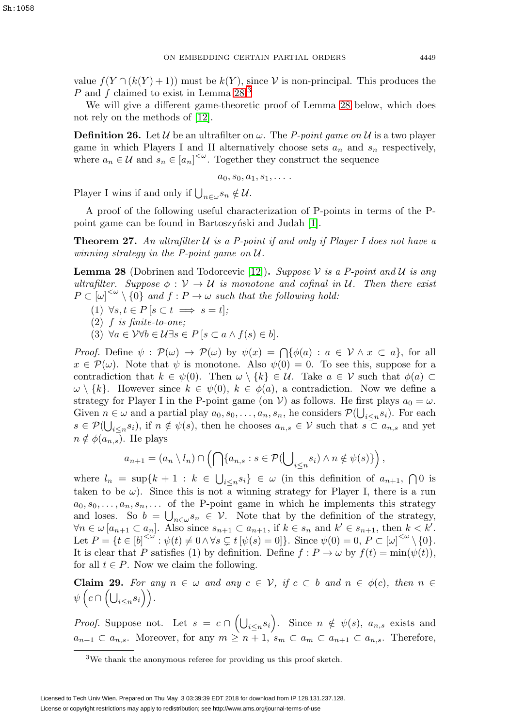value  $f(Y \cap (k(Y) + 1))$  must be  $k(Y)$ , since V is non-principal. This produces the P and f claimed to exist in Lemma  $28<sup>3</sup>$  $28<sup>3</sup>$  $28<sup>3</sup>$ 

We will give a different game-theoretic proof of Lemma [28](#page-16-0) below, which does not rely on the methods of [\[12\]](#page-21-8).

**Definition 26.** Let U be an ultrafilter on  $\omega$ . The P-point game on U is a two player game in which Players I and II alternatively choose sets  $a_n$  and  $s_n$  respectively, where  $a_n \in \mathcal{U}$  and  $s_n \in [a_n]^{<\omega}$ . Together they construct the sequence

 $a_0, s_0, a_1, s_1, \ldots$ 

Player I wins if and only if  $\bigcup_{n\in\omega} s_n \notin \mathcal{U}$ .

A proof of the following useful characterization of P-points in terms of the P-point game can be found in Bartoszynski and Judah [\[1\]](#page-21-6).

**Theorem 27.** An ultrafilter  $U$  is a P-point if and only if Player I does not have a winning strategy in the P-point game on U.

<span id="page-16-0"></span>**Lemma 28** (Dobrinen and Todorcevic [\[12\]](#page-21-8)). Suppose V is a P-point and U is any ultrafilter. Suppose  $\phi : \mathcal{V} \to \mathcal{U}$  is monotone and cofinal in U. Then there exist  $P\subset[\omega]^{<\omega}\setminus\{0\}$  and  $f:P\to\omega$  such that the following hold:

- (1)  $\forall s, t \in P \, [s \subset t \implies s = t];$
- (2)  $f$  is finite-to-one;
- (3)  $\forall a \in V \forall b \in U \exists s \in P \, [s \subset a \land f(s) \in b].$

*Proof.* Define  $\psi : \mathcal{P}(\omega) \to \mathcal{P}(\omega)$  by  $\psi(x) = \bigcap \{ \phi(a) : a \in \mathcal{V} \wedge x \subset a \}$ , for all  $x \in \mathcal{P}(\omega)$ . Note that  $\psi$  is monotone. Also  $\psi(0) = 0$ . To see this, suppose for a contradiction that  $k \in \psi(0)$ . Then  $\omega \setminus \{k\} \in \mathcal{U}$ . Take  $a \in \mathcal{V}$  such that  $\phi(a) \subset$  $\omega \setminus \{k\}.$  However since  $k \in \psi(0), k \in \phi(a)$ , a contradiction. Now we define a strategy for Player I in the P-point game (on V) as follows. He first plays  $a_0 = \omega$ . Given  $n \in \omega$  and a partial play  $a_0, s_0, \ldots, a_n, s_n$ , he considers  $\mathcal{P}(\bigcup_{i \leq n} s_i)$ . For each  $s \in \mathcal{P}(\bigcup_{i \leq n} s_i)$ , if  $n \notin \psi(s)$ , then he chooses  $a_{n,s} \in \mathcal{V}$  such that  $s \subset a_{n,s}$  and yet  $n \notin \phi(a_{n,s})$ . He plays

$$
a_{n+1} = (a_n \setminus l_n) \cap \left( \bigcap \{ a_{n,s} : s \in \mathcal{P}(\bigcup_{i \leq n} s_i) \land n \notin \psi(s) \} \right),
$$

where  $l_n = \sup\{k+1 : k \in \bigcup_{i \leq n} s_i\} \in \omega$  (in this definition of  $a_{n+1}$ ,  $\bigcap 0$  is taken to be  $\omega$ ). Since this is not a winning strategy for Player I, there is a run  $a_0, s_0, \ldots, a_n, s_n, \ldots$  of the P-point game in which he implements this strategy and loses. So  $b = \bigcup_{n \in \omega} s_n \in \mathcal{V}$ . Note that by the definition of the strategy,  $\forall n \in \omega \left[ a_{n+1} \subset a_n \right]$ . Also since  $s_{n+1} \subset a_{n+1}$ , if  $k \in s_n$  and  $k' \in s_{n+1}$ , then  $k < k'$ . Let  $P = \{t \in [b]^{<\omega} : \psi(t) \neq 0 \land \forall s \subsetneq t \, [\psi(s) = 0] \}.$  Since  $\psi(0) = 0, P \subset [\omega]^{<\omega} \setminus \{0\}.$ It is clear that P satisfies (1) by definition. Define  $f: P \to \omega$  by  $f(t) = \min(\psi(t)),$ for all  $t \in P$ . Now we claim the following.

<span id="page-16-2"></span>**Claim 29.** For any  $n \in \omega$  and any  $c \in V$ , if  $c \subset b$  and  $n \in \phi(c)$ , then  $n \in \mathbb{R}$  $\psi\left(c\cap \left(\bigcup_{i\leq n} s_i\right)\right).$ 

*Proof.* Suppose not. Let  $s = c \cap (\bigcup_{i \leq n} s_i)$ . Since  $n \notin \psi(s)$ ,  $a_{n,s}$  exists and  $a_{n+1} \subset a_{n,s}$ . Moreover, for any  $m \geq n+1$ ,  $s_m \subset a_m \subset a_{n+1} \subset a_{n,s}$ . Therefore,

<span id="page-16-1"></span><sup>3</sup>We thank the anonymous referee for providing us this proof sketch.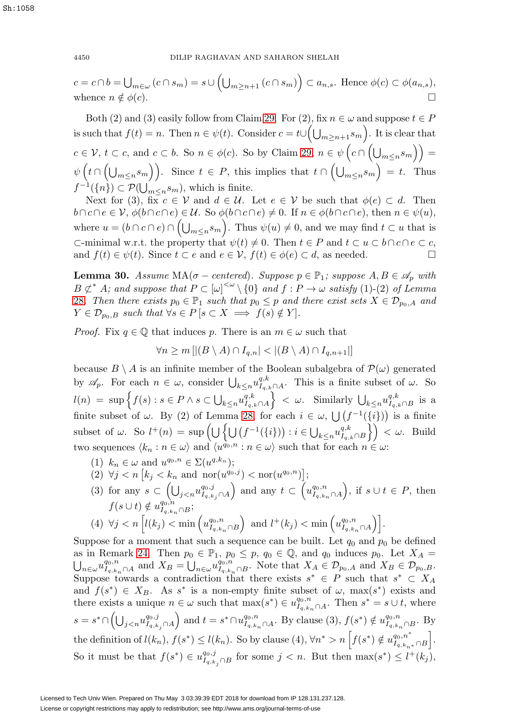4450 DILIP RAGHAVAN AND SAHARON SHELAH

$$
c = c \cap b = \bigcup_{m \in \omega} (c \cap s_m) = s \cup \left( \bigcup_{m \ge n+1} (c \cap s_m) \right) \subset a_{n,s}.
$$
 Hence  $\phi(c) \subset \phi(a_{n,s}),$   
whence  $n \notin \phi(c).$ 

Both (2) and (3) easily follow from Claim [29.](#page-16-2) For (2), fix  $n \in \omega$  and suppose  $t \in P$ is such that  $f(t) = n$ . Then  $n \in \psi(t)$ . Consider  $c = t \cup (\bigcup_{m \geq n+1} s_m)$ . It is clear that  $c \in \mathcal{V}, t \subset c$ , and  $c \subset b$ . So  $n \in \phi(c)$ . So by Claim [29,](#page-16-2)  $n \in \psi\left(c \cap \left(\bigcup_{m \leq n} s_m\right)\right)$  $\psi\left(t\cap\left(\bigcup_{m\leq n} s_m\right)\right)$ . Since  $t\in P$ , this implies that  $t\cap\left(\bigcup_{m\leq n} s_m\right)=t$ . Thus  $f^{-1}(\lbrace n \rbrace) \subset \mathcal{P}(\bigcup_{m \leq n} s_m)$ , which is finite.

Next for (3), fix  $c \in V$  and  $d \in U$ . Let  $e \in V$  be such that  $\phi(e) \subset d$ . Then  $b \cap c \cap e \in V$ ,  $\phi(b \cap c \cap e) \in U$ . So  $\phi(b \cap c \cap e) \neq 0$ . If  $n \in \phi(b \cap c \cap e)$ , then  $n \in \psi(u)$ , where  $u = (b \cap c \cap e) \cap (\bigcup_{m \leq n} s_m)$ . Thus  $\psi(u) \neq 0$ , and we may find  $t \subset u$  that is ⊂-minimal w.r.t. the property that  $\psi(t) \neq 0$ . Then  $t \in P$  and  $t \subset u \subset b \cap c \cap e \subset c$ , and  $f(t) \in \psi(t)$ . Since  $t \subset e$  and  $e \in V$ ,  $f(t) \in \phi(e) \subset d$ , as needed.

<span id="page-17-0"></span>**Lemma 30.** Assume  $MA(\sigma - centered)$ . Suppose  $p \in \mathbb{P}_1$ ; suppose  $A, B \in \mathcal{A}_p$  with  $B \not\subset^* A$ ; and suppose that  $P \subset [\omega]^{<\omega} \setminus \{0\}$  and  $f : P \to \omega$  satisfy (1)-(2) of Lemma [28](#page-16-0). Then there exists  $p_0 \in \mathbb{P}_1$  such that  $p_0 \leq p$  and there exist sets  $X \in \mathcal{D}_{p_0,A}$  and  $Y \in \mathcal{D}_{p_0,B}$  such that  $\forall s \in P \, [s \subset X \implies f(s) \notin Y].$ 

*Proof.* Fix  $q \in \mathbb{Q}$  that induces p. There is an  $m \in \omega$  such that

$$
\forall n \ge m \left[ |(B \setminus A) \cap I_{q,n}| < |(B \setminus A) \cap I_{q,n+1}| \right]
$$

because  $B \setminus A$  is an infinite member of the Boolean subalgebra of  $\mathcal{P}(\omega)$  generated by  $\mathscr{A}_p$ . For each  $n \in \omega$ , consider  $\bigcup_{k \leq n} u_{I_q,k}^{q,k}$ . This is a finite subset of  $\omega$ . So  $l(n) = \sup \Big\{ f(s) : s \in P \wedge s \subset \bigcup_{k \leq n} u_{I_{q,k} \cap A}^{q,k}$  $\Big\} < \omega$ . Similarly  $\bigcup_{k \leq n} u_{I_{q,k} \cap B}^{q,k}$  is a finite subset of  $\omega$ . By (2) of Lemma [28,](#page-16-0) for each  $i \in \omega$ ,  $\bigcup (f^{-1}(\{i\})\big)$  is a finite subset of  $\omega$ . So  $l^+(n) = \sup \left( \bigcup \left\{ \bigcup \left( f^{-1}(\{i\}) \right) : i \in \bigcup_{k \leq n} u_{I_q,k \cap B}^{q,k} \right\} \right) < \omega$ . Build two sequences  $\langle k_n : n \in \omega \rangle$  and  $\langle u^{q_0,n} : n \in \omega \rangle$  such that for each  $n \in \omega$ :

- (1)  $k_n \in \omega$  and  $u^{q_0,n} \in \Sigma(u^{q,k_n});$
- (2)  $\forall j < n \left[ k_j < k_n \text{ and } \text{nor}(u^{q_0,j}) < \text{nor}(u^{q_0,n}) \right];$
- (3) for any  $s \subset \left(\bigcup_{j < n} u_{I_{q,k_j} \cap A}^{q_0,j} \right)$ ) and any  $t \subset \left(u_{I_{q,k_n}\cap A}^{q_0,n}\right)$ ), if  $s \cup t \in P$ , then  $f(s \cup t) \notin u_{I_{q,k_n} \cap B}^{q_0,n};$ (4)  $\forall j < n \left[ l(k_j) < \min \left( u_{I_{q,k_n} \cap B}^{q_0,n} \right) \right]$  $\Big)$  and  $l^+(k_j) < \min\left(u^{q_0,n}_{I_{q,k_n}\cap A}\right)\Big]$ .

Suppose for a moment that such a sequence can be built. Let  $q_0$  and  $p_0$  be defined as in Remark [24.](#page-15-0) Then  $p_0 \in \mathbb{P}_1$ ,  $p_0 \leq p$ ,  $q_0 \in \mathbb{Q}$ , and  $q_0$  induces  $p_0$ . Let  $X_A =$  $\bigcup_{n\in\omega}u_{I_{q,k_n}\cap A}^{q_0,n}$  and  $X_B=\bigcup_{n\in\omega}u_{I_{q,k_n}\cap B}^{q_0,n}$ . Note that  $X_A\in\mathcal{D}_{p_0,A}$  and  $X_B\in\mathcal{D}_{p_0,B}$ . Suppose towards a contradiction that there exists  $s^* \in P$  such that  $s^* \subset X_A$ and  $f(s^*) \in X_B$ . As s<sup>\*</sup> is a non-empty finite subset of  $\omega$ , max $(s^*)$  exists and there exists a unique  $n \in \omega$  such that  $\max(s^*) \in u_{I_{q,k_n} \cap A}^{q_0,n}$ . Then  $s^* = s \cup t$ , where  $s = s^* \cap \left( \bigcup_{j < n} u^{q_0, j}_{I_q, k_j \cap A} \right)$ and  $t = s^* \cap u_{I_{q,k_n} \cap A}^{q_0,n}$ . By clause  $(3), f(s^*) \notin u_{I_{q,k_n} \cap B}^{q_0,n}$ . By the definition of  $l(k_n)$ ,  $f(s^*) \le l(k_n)$ . So by clause (4),  $\forall n^* > n \left[ f(s^*) \notin u_{I_{q,k_n*}}^{q_0,n^*} \cap B \right]$  . So it must be that  $f(s^*) \in u_{I_{q,k_j} \cap B}^{q_0,j}$  for some  $j < n$ . But then  $\max(s^*) \leq l^+(k_j)$ ,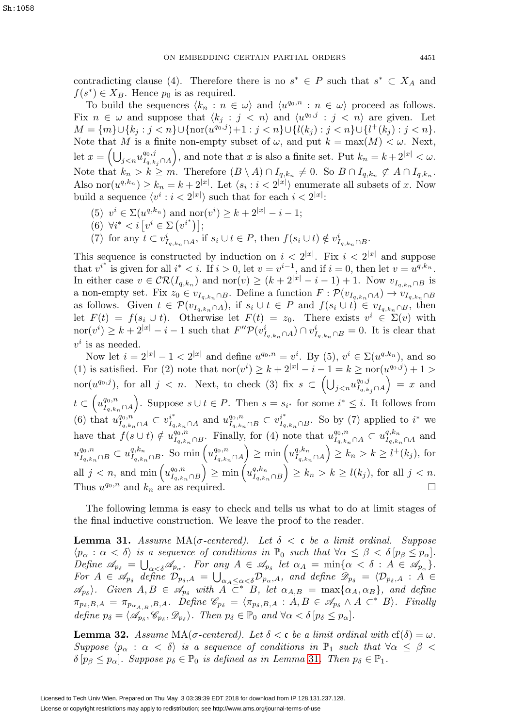contradicting clause (4). Therefore there is no  $s^* \in P$  such that  $s^* \subset X_A$  and  $f(s^*) \in X_B$ . Hence  $p_0$  is as required.

To build the sequences  $\langle k_n : n \in \omega \rangle$  and  $\langle u^{q_0,n} : n \in \omega \rangle$  proceed as follows. Fix  $n \in \omega$  and suppose that  $\langle k_j : j \langle n \rangle$  and  $\langle u^{q_0,j} : j \langle n \rangle$  are given. Let  $M = \{m\} \cup \{k_j : j < n\} \cup \{\text{nor}(u^{q_0,j}) + 1 : j < n\} \cup \{l(k_j) : j < n\} \cup \{l^+(k_j) : j < n\}.$ Note that M is a finite non-empty subset of  $\omega$ , and put  $k = \max(M) < \omega$ . Next, let  $x = \left(\bigcup_{j < n} u^{q_0, j}_{I_{q, k_j} \cap A}\right)$ ), and note that x is also a finite set. Put  $k_n = k + 2^{|x|} < \omega$ . Note that  $k_n > k \geq m$ . Therefore  $(B \setminus A) \cap I_{q,k_n} \neq 0$ . So  $B \cap I_{q,k_n} \not\subset A \cap I_{q,k_n}$ . Also nor $(u^{q,k_n}) \geq k_n = k + 2^{|x|}$ . Let  $\langle s_i : i < 2^{|x|} \rangle$  enumerate all subsets of x. Now build a sequence  $\langle v^i : i < 2^{|x|} \rangle$  such that for each  $i < 2^{|x|}$ :

- (5)  $v^i \in \Sigma(u^{q,k_n})$  and  $\text{nor}(v^i) \geq k+2^{|x|}-i-1;$
- (6)  $\forall i^* < i \, [v^i \in \Sigma \, (v^{i^*})];$
- (7) for any  $t \subset v^i_{I_{q,k_n} \cap A}$ , if  $s_i \cup t \in P$ , then  $f(s_i \cup t) \notin v^i_{I_{q,k_n} \cap B}$ .

This sequence is constructed by induction on  $i < 2^{|x|}$ . Fix  $i < 2^{|x|}$  and suppose that  $v^{i^*}$  is given for all  $i^* < i$ . If  $i > 0$ , let  $v = v^{i-1}$ , and if  $i = 0$ , then let  $v = u^{q, k_n}$ . In either case  $v \in \mathcal{CR}(I_{q,k_n})$  and  $\text{nor}(v) \geq (k+2^{|x|}-i-1)+1$ . Now  $v_{I_{q,k_n}\cap B}$  is a non-empty set. Fix  $z_0 \in v_{I_q,k_n \cap B}$ . Define a function  $F : \mathcal{P}(v_{I_q,k_n \cap A}) \to v_{I_q,k_n \cap B}$ as follows. Given  $t \in \mathcal{P}(v_{I_{q,k_n}\cap A})$ , if  $s_i \cup t \in P$  and  $f(s_i \cup t) \in v_{I_{q,k_n}\cap B}$ , then let  $F(t) = f(s_i \cup t)$ . Otherwise let  $F(t) = z_0$ . There exists  $v^i \in \Sigma(v)$  with  $\text{nor}(v^i) \geq k+2^{|x|}-i-1$  such that  $F''\mathcal{P}(v^i_{I_{q,k_n}\cap A}) \cap v^i_{I_{q,k_n}\cap B} = 0$ . It is clear that  $v^i$  is as needed.

Now let  $i = 2^{|x|} - 1 < 2^{|x|}$  and define  $u^{q_0,n} = v^i$ . By  $(5), v^i \in \Sigma(u^{q,k_n})$ , and so (1) is satisfied. For (2) note that  $\text{nor}(v^i) \geq k + 2^{|x|} - i - 1 = k \geq \text{nor}(u^{q_0,j}) + 1 >$  $\text{nor}(u^{q_0,j})$ , for all  $j \leq n$ . Next, to check (3) fix  $s \subset \left(\bigcup_{j \leq n} u_{I_{q,k_j} \cap A}^{q_0,j}\right)$  $= x$  and  $t\subset \left( u^{q_0,n}_{I_{q,k_n}\cap A}\right)$ ). Suppose  $s \cup t \in P$ . Then  $s = s_{i^*}$  for some  $i^* ≤ i$ . It follows from (6) that  $u_{I_{q,k_n}\cap A}^{q_0,n} \subset v_{I_{q,k_n}\cap A}^{i^*}$  and  $u_{I_{q,k_n}\cap B}^{q_0,n} \subset v_{I_{q,k_n}\cap B}^{i^*}$ . So by (7) applied to  $i^*$  we have that  $f(s \cup t) \notin u_{I_{q,k_n} \cap B}^{q_0,n}$ . Finally, for (4) note that  $u_{I_{q,k_n} \cap A}^{q_0,n} \subset u_{I_{q,k_n} \cap A}^{q,k_n}$  and  $u_{I_{q,k_n}\cap B}^{q_0,n} \subset u_{I_{q,k_n}\cap B}^{q,k_n}$ . So min  $\left(u_{I_{q,k_n}\cap A}^{q_0,n}\right)$  $\Big) \geq \min \Big( u^{q,k_n}_{I_{q,k_n} \cap A} \Big)$  $\Big) \geq k_n > k \geq l^+(k_j)$ , for all  $j < n$ , and min  $\left(u_{I_{q,k_n}\cap B}^{q_0,n}\right)$  $\Big) \geq \min \Big( u^{q,k_n}_{I_{q,k_n} \cap B} \Big)$  $\Big) \geq k_n > k \geq l(k_j)$ , for all  $j < n$ . Thus  $u^{q_0,n}$  and  $k_n$  are as required.

The following lemma is easy to check and tells us what to do at limit stages of the final inductive construction. We leave the proof to the reader.

<span id="page-18-0"></span>**Lemma 31.** Assume  $MA(\sigma$ -centered). Let  $\delta < \mathfrak{c}$  be a limit ordinal. Suppose  $\langle p_\alpha : \alpha < \delta \rangle$  is a sequence of conditions in  $\mathbb{P}_0$  such that  $\forall \alpha \leq \beta < \delta$   $[p_\beta \leq p_\alpha]$ . Define  $\mathscr{A}_{p_{\delta}} = \bigcup_{\alpha < \delta} \mathscr{A}_{p_{\alpha}}$ . For any  $A \in \mathscr{A}_{p_{\delta}}$  let  $\alpha_A = \min{\{\alpha < \delta : A \in \mathscr{A}_{p_{\alpha}}\}}$ . For  $A \in \mathscr{A}_{p_\delta}$  define  $\mathcal{D}_{p_\delta,A} = \bigcup_{\alpha_A \leq \alpha < \delta} \mathcal{D}_{p_\alpha,A}$ , and define  $\mathscr{D}_{p_\delta} = \langle \mathcal{D}_{p_\delta,A} : A \in$  $\mathscr{A}_{p_{\delta}}$ . Given  $A, B \in \mathscr{A}_{p_{\delta}}$  with  $A \subset \mathscr{B}$ . let  $\alpha_{A,B} = \max{\{\alpha_A, \alpha_B\}}$ , and define  $\pi_{p_{\delta},B,A} = \pi_{p_{\alpha_{A,B}},B,A}.$  Define  $\mathscr{C}_{p_{\delta}} = \langle \pi_{p_{\delta},B,A} : A,B \in \mathscr{A}_{p_{\delta}} \wedge A \subset^* B \rangle.$  Finally define  $p_{\delta} = \langle \mathscr{A}_{p_{\delta}}, \mathscr{C}_{p_{\delta}}, \mathscr{D}_{p_{\delta}} \rangle$ . Then  $p_{\delta} \in \mathbb{P}_0$  and  $\forall \alpha < \delta \, [p_{\delta} \leq p_{\alpha}]$ .

<span id="page-18-1"></span>**Lemma 32.** Assume MA( $\sigma$ -centered). Let  $\delta < \mathfrak{c}$  be a limit ordinal with  $cf(\delta) = \omega$ . Suppose  $\langle p_\alpha : \alpha < \delta \rangle$  is a sequence of conditions in  $\mathbb{P}_1$  such that  $\forall \alpha \leq \beta <$  $\delta[p_\beta \leq p_\alpha]$ . Suppose  $p_\delta \in \mathbb{P}_0$  is defined as in Lemma [31](#page-18-0). Then  $p_\delta \in \mathbb{P}_1$ .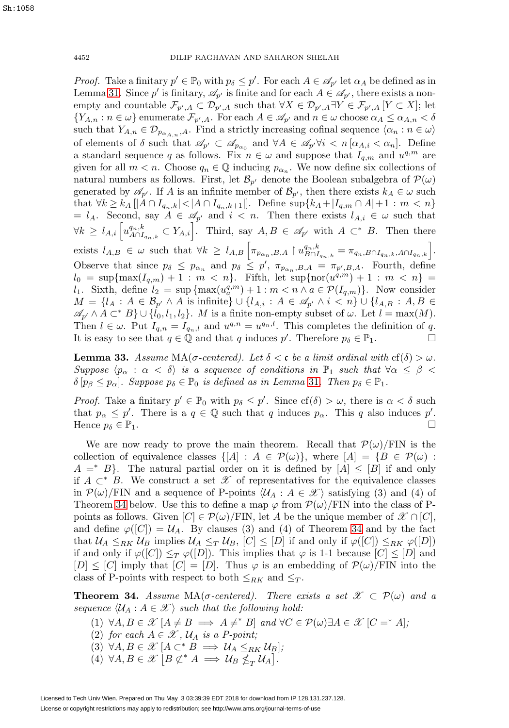*Proof.* Take a finitary  $p' \in \mathbb{P}_0$  with  $p_\delta \leq p'$ . For each  $A \in \mathcal{A}_{p'}$  let  $\alpha_A$  be defined as in Lemma [31.](#page-18-0) Since p' is finitary,  $\mathscr{A}_{p'}$  is finite and for each  $A \in \mathscr{A}_{p'}$ , there exists a nonempty and countable  $\mathcal{F}_{p',A} \subset \mathcal{D}_{p',A}$  such that  $\forall X \in \mathcal{D}_{p',A} \exists Y \in \mathcal{F}_{p',A}$  [ $Y \subset X$ ]; let  $\{Y_{A,n}:n\in\omega\}$  enumerate  $\mathcal{F}_{p',A}$ . For each  $A\in\mathscr{A}_{p'}$  and  $n\in\omega$  choose  $\alpha_A\leq\alpha_{A,n}<\delta$ such that  $Y_{A,n} \in \mathcal{D}_{p_{\alpha_{A,n}},A}$ . Find a strictly increasing cofinal sequence  $\langle \alpha_n : n \in \omega \rangle$ of elements of  $\delta$  such that  $\mathscr{A}_{p'} \subset \mathscr{A}_{p_{\alpha_0}}$  and  $\forall A \in \mathscr{A}_{p'} \forall i \langle n | \alpha_{A,i} \langle \alpha_n |$ . Define a standard sequence q as follows. Fix  $n \in \omega$  and suppose that  $I_{q,m}$  and  $u^{q,m}$  are given for all  $m < n$ . Choose  $q_n \in \mathbb{Q}$  inducing  $p_{\alpha_n}$ . We now define six collections of natural numbers as follows. First, let  $\mathcal{B}_{p'}$  denote the Boolean subalgebra of  $\mathcal{P}(\omega)$ generated by  $\mathscr{A}_{p'}$ . If A is an infinite member of  $\mathcal{B}_{p'}$ , then there exists  $k_A \in \omega$  such that  $\forall k \geq k_A \, [A \cap I_{q_n,k} | < |A \cap I_{q_n,k+1}|].$  Define sup $\{k_A + |I_{q,m} \cap A| + 1 : m < n\}$  $= l_A$ . Second, say  $A \in \mathscr{A}_{p'}$  and  $i < n$ . Then there exists  $l_{A,i} \in \omega$  such that  $\forall k \geq l_{A,i} \left[ u_{A \cap I_{q_n,k}}^{q_n,k} \subset Y_{A,i} \right]$ . Third, say  $A, B \in \mathscr{A}_{p'}$  with  $A \subset^* B$ . Then there exists  $l_{A,B} \in \omega$  such that  $\forall k \geq l_{A,B} \left[ \pi_{p_{\alpha_n},B,A} \upharpoonright u_{B \cap I_{q_n,k}}^{q_n,k} = \pi_{q_n,B \cap I_{q_n,k},A \cap I_{q_n,k}} \right]$ . Observe that since  $p_{\delta} \leq p_{\alpha_n}$  and  $p_{\delta} \leq p'$ ,  $\pi_{p_{\alpha_n},B,A} = \pi_{p',B,A}$ . Fourth, define  $l_0 = \sup\{\max(I_{q,m}) + 1 : m < n\}.$  Fifth, let  $\sup\{\max(u^{q,m}) + 1 : m < n\}$ l<sub>1</sub>. Sixth, define  $l_2 = \sup \{ \max(u_a^{q,m}) + 1 : m < n \land a \in \mathcal{P}(I_{q,m}) \}$ . Now consider  $M = \{l_A : A \in \mathcal{B}_{p'} \wedge A \text{ is infinite}\}\cup \{l_{A,i} : A \in \mathscr{A}_{p'} \wedge i < n\} \cup \{l_{A,B} : A, B \in \mathcal{A}_{p'} \wedge A\}$  $\mathscr{A}_{p'} \wedge A \subset^* B$   $\cup$  { $l_0, l_1, l_2$ }. M is a finite non-empty subset of  $\omega$ . Let  $l = \max(M)$ . Then  $l \in \omega$ . Put  $I_{q,n} = I_{q_n,l}$  and  $u^{q,n} = u^{q_n,l}$ . This completes the definition of q. It is easy to see that  $q \in \mathbb{Q}$  and that q induces p'. Therefore  $p_{\delta} \in \mathbb{P}_1$ .

<span id="page-19-1"></span>**Lemma 33.** Assume  $MA(\sigma\text{-centered})$ . Let  $\delta < \mathfrak{c}$  be a limit ordinal with  $cf(\delta) > \omega$ . Suppose  $\langle p_\alpha : \alpha < \delta \rangle$  is a sequence of conditions in  $\mathbb{P}_1$  such that  $\forall \alpha \leq \beta <$  $\delta[p_\beta \leq p_\alpha]$ . Suppose  $p_\delta \in \mathbb{P}_0$  is defined as in Lemma [31](#page-18-0). Then  $p_\delta \in \mathbb{P}_1$ .

*Proof.* Take a finitary  $p' \in \mathbb{P}_0$  with  $p_\delta \leq p'$ . Since  $cf(\delta) > \omega$ , there is  $\alpha < \delta$  such that  $p_{\alpha} \leq p'$ . There is a  $q \in \mathbb{Q}$  such that q induces  $p_{\alpha}$ . This q also induces p'. Hence  $p_{\delta} \in \mathbb{P}_1$ .

We are now ready to prove the main theorem. Recall that  $\mathcal{P}(\omega)/\text{FIN}$  is the collection of equivalence classes  $\{[A] : A \in \mathcal{P}(\omega)\}\$ , where  $[A] = \{B \in \mathcal{P}(\omega) :$  $A = K B$ . The natural partial order on it is defined by  $[A] \leq [B]$  if and only if  $A \subset K$  B. We construct a set  $\mathscr X$  of representatives for the equivalence classes in  $\mathcal{P}(\omega)/\text{FIN}$  and a sequence of P-points  $\langle \mathcal{U}_A : A \in \mathcal{X} \rangle$  satisfying (3) and (4) of Theorem [34](#page-19-0) below. Use this to define a map  $\varphi$  from  $\mathcal{P}(\omega)/\text{FIN}$  into the class of Ppoints as follows. Given  $[C] \in \mathcal{P}(\omega)$  FIN, let A be the unique member of  $\mathcal{X} \cap [C]$ , and define  $\varphi([C]) = \mathcal{U}_A$ . By clauses (3) and (4) of Theorem [34](#page-19-0) and by the fact that  $U_A \leq_{RK} U_B$  implies  $U_A \leq_T U_B$ ,  $[C] \leq [D]$  if and only if  $\varphi([C]) \leq_{RK} \varphi([D])$ if and only if  $\varphi([C]) \leq_T \varphi([D])$ . This implies that  $\varphi$  is 1-1 because  $[C] \leq [D]$  and  $[D] \leq [C]$  imply that  $[C]=[D]$ . Thus  $\varphi$  is an embedding of  $\mathcal{P}(\omega)/\text{FIN}$  into the class of P-points with respect to both  $\leq_{RK}$  and  $\leq_T$ .

<span id="page-19-0"></span>**Theorem 34.** Assume MA( $\sigma$ -centered). There exists a set  $\mathscr{X} \subset \mathcal{P}(\omega)$  and a sequence  $\langle \mathcal{U}_A : A \in \mathcal{X} \rangle$  such that the following hold:

- (1)  $\forall A, B \in \mathcal{X} \: [A \neq B \implies A \neq^* B] \text{ and } \forall C \in \mathcal{P}(\omega) \exists A \in \mathcal{X} \: [C =^* A];$
- (2) for each  $A \in \mathcal{X}$ ,  $\mathcal{U}_A$  is a P-point;
- (3)  $\forall A, B \in \mathscr{X} [A \subset^* B \implies \mathcal{U}_A \leq_{RK} \mathcal{U}_B];$
- (4)  $\forall A, B \in \mathscr{X} \left[ B \not\subset^* A \implies \mathcal{U}_B \nleq_T \mathcal{U}_A \right].$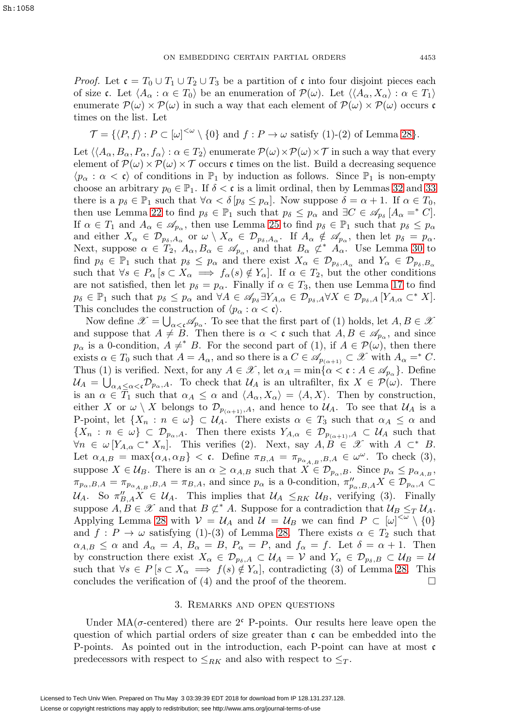*Proof.* Let  $\mathfrak{c} = T_0 \cup T_1 \cup T_2 \cup T_3$  be a partition of  $\mathfrak{c}$  into four disjoint pieces each of size c. Let  $\langle A_{\alpha} : \alpha \in T_0 \rangle$  be an enumeration of  $\mathcal{P}(\omega)$ . Let  $\langle \langle A_{\alpha}, X_{\alpha} \rangle : \alpha \in T_1 \rangle$ enumerate  $\mathcal{P}(\omega) \times \mathcal{P}(\omega)$  in such a way that each element of  $\mathcal{P}(\omega) \times \mathcal{P}(\omega)$  occurs c times on the list. Let

$$
\mathcal{T} = \{ \langle P, f \rangle : P \subset [\omega]^{<\omega} \setminus \{0\} \text{ and } f : P \to \omega \text{ satisfy (1)-(2) of Lemma 28} \}.
$$

Let  $\langle\langle A_\alpha, B_\alpha, P_\alpha, f_\alpha\rangle : \alpha \in T_2\rangle$  enumerate  $\mathcal{P}(\omega) \times \mathcal{P}(\omega) \times \mathcal{T}$  in such a way that every element of  $\mathcal{P}(\omega)\times\mathcal{P}(\omega)\times\mathcal{T}$  occurs c times on the list. Build a decreasing sequence  $\langle p_{\alpha} : \alpha < \mathfrak{c} \rangle$  of conditions in  $\mathbb{P}_1$  by induction as follows. Since  $\mathbb{P}_1$  is non-empty choose an arbitrary  $p_0 \in \mathbb{P}_1$ . If  $\delta < \mathfrak{c}$  is a limit ordinal, then by Lemmas [32](#page-18-1) and [33](#page-19-1) there is a  $p_{\delta} \in \mathbb{P}_1$  such that  $\forall \alpha < \delta \left[ p_{\delta} \leq p_{\alpha} \right]$ . Now suppose  $\delta = \alpha + 1$ . If  $\alpha \in T_0$ , then use Lemma [22](#page-13-0) to find  $p_{\delta} \in \mathbb{P}_1$  such that  $p_{\delta} \leq p_{\alpha}$  and  $\exists C \in \mathscr{A}_{p_{\delta}}[A_{\alpha} =^* C].$ If  $\alpha \in T_1$  and  $A_\alpha \in \mathscr{A}_{p_\alpha}$ , then use Lemma [25](#page-15-1) to find  $p_\delta \in \mathbb{P}_1$  such that  $p_\delta \leq p_\alpha$ and either  $X_{\alpha} \in \mathcal{D}_{p_{\delta}, A_{\alpha}}$  or  $\omega \setminus X_{\alpha} \in \mathcal{D}_{p_{\delta}, A_{\alpha}}$ . If  $A_{\alpha} \notin \mathscr{A}_{p_{\alpha}}$ , then let  $p_{\delta} = p_{\alpha}$ . Next, suppose  $\alpha \in T_2$ ,  $A_\alpha, B_\alpha \in \mathscr{A}_{p_\alpha}$ , and that  $B_\alpha \not\subset^* A_\alpha$ . Use Lemma [30](#page-17-0) to find  $p_{\delta} \in \mathbb{P}_1$  such that  $p_{\delta} \leq p_{\alpha}$  and there exist  $X_{\alpha} \in \mathcal{D}_{p_{\delta},A_{\alpha}}$  and  $Y_{\alpha} \in \mathcal{D}_{p_{\delta},B_{\alpha}}$ such that  $\forall s \in P_\alpha$  [ $s \subset X_\alpha \implies f_\alpha(s) \notin Y_\alpha$ ]. If  $\alpha \in T_2$ , but the other conditions are not satisfied, then let  $p_{\delta} = p_{\alpha}$ . Finally if  $\alpha \in T_3$ , then use Lemma [17](#page-9-2) to find  $p_{\delta} \in \mathbb{P}_1$  such that  $p_{\delta} \leq p_{\alpha}$  and  $\forall A \in \mathscr{A}_{p_{\delta}} \exists Y_{A,\alpha} \in \mathcal{D}_{p_{\delta},A} \forall X \in \mathcal{D}_{p_{\delta},A}$   $[Y_{A,\alpha} \subset^* X].$ This concludes the construction of  $\langle p_{\alpha} : \alpha < \mathfrak{c} \rangle$ .

Now define  $\mathscr{X} = \bigcup_{\alpha < \mathfrak{c}} \mathscr{A}_{p_\alpha}$ . To see that the first part of (1) holds, let  $A, B \in \mathscr{X}$ and suppose that  $A \neq B$ . Then there is  $\alpha < \mathfrak{c}$  such that  $A, B \in \mathscr{A}_{p_{\alpha}}$ , and since  $p_{\alpha}$  is a 0-condition,  $A \neq^* B$ . For the second part of (1), if  $A \in \mathcal{P}(\omega)$ , then there exists  $\alpha \in T_0$  such that  $A = A_\alpha$ , and so there is a  $C \in \mathscr{A}_{p_{(\alpha+1)}} \subset \mathscr{X}$  with  $A_\alpha =^* C$ . Thus (1) is verified. Next, for any  $A \in \mathcal{X}$ , let  $\alpha_A = \min\{\alpha < \mathfrak{c} : A \in \mathcal{A}_{p_\alpha}\}\)$ . Define  $\mathcal{U}_A = \bigcup_{\alpha_A \leq \alpha < \mathfrak{c}} \mathcal{D}_{p_\alpha,A}$ . To check that  $\mathcal{U}_A$  is an ultrafilter, fix  $X \in \mathcal{P}(\omega)$ . There is an  $\alpha \in T_1$  such that  $\alpha_A \leq \alpha$  and  $\langle A_\alpha, X_\alpha \rangle = \langle A, X \rangle$ . Then by construction, either X or  $\omega \setminus X$  belongs to  $\mathcal{D}_{p_{(\alpha+1)},A}$ , and hence to  $\mathcal{U}_A$ . To see that  $\mathcal{U}_A$  is a P-point, let  $\{X_n : n \in \omega\} \subset \mathcal{U}_A$ . There exists  $\alpha \in T_3$  such that  $\alpha_A \leq \alpha$  and  $\{X_n : n \in \omega\} \subset \mathcal{D}_{p_\alpha,A}$ . Then there exists  $Y_{A,\alpha} \in \mathcal{D}_{p_{(\alpha+1)},A} \subset \mathcal{U}_A$  such that  $\forall n \in \omega$  [ $Y_{A,\alpha} \subset^* X_n$ ]. This verifies (2). Next, say  $A, B \in \mathscr{X}$  with  $A \subset^* B$ . Let  $\alpha_{A,B} = \max\{\alpha_A, \alpha_B\} < \mathfrak{c}$ . Define  $\pi_{B,A} = \pi_{p_{\alpha_A,B},B,A} \in \omega^\omega$ . To check (3), suppose  $X \in \mathcal{U}_B$ . There is an  $\alpha \geq \alpha_{A,B}$  such that  $X \in \mathcal{D}_{p_\alpha,B}$ . Since  $p_\alpha \leq p_{\alpha_{A,B}}$ ,  $\pi_{p_{\alpha},B,A} = \pi_{p_{\alpha_{A,B}},B,A} = \pi_{B,A}$ , and since  $p_{\alpha}$  is a 0-condition,  $\pi_{p_{\alpha},B,A}'' X \in \mathcal{D}_{p_{\alpha},A} \subset$  $\mathcal{U}_A$ . So  $\pi_{B,A}''X \in \mathcal{U}_A$ . This implies that  $\mathcal{U}_A \leq_{RK} \mathcal{U}_B$ , verifying (3). Finally suppose  $A, B \in \mathcal{X}$  and that  $B \not\subset^* A$ . Suppose for a contradiction that  $\mathcal{U}_B \leq_T \mathcal{U}_A$ . Applying Lemma [28](#page-16-0) with  $V = U_A$  and  $U = U_B$  we can find  $P \subset [\omega]^{<\omega} \setminus \{0\}$ and  $f: P \to \omega$  satisfying (1)-(3) of Lemma [28.](#page-16-0) There exists  $\alpha \in T_2$  such that  $\alpha_{A,B} \leq \alpha$  and  $A_{\alpha} = A$ ,  $B_{\alpha} = B$ ,  $P_{\alpha} = P$ , and  $f_{\alpha} = f$ . Let  $\delta = \alpha + 1$ . Then by construction there exist  $X_{\alpha} \in \mathcal{D}_{p_{\delta},A} \subset \mathcal{U}_A = \mathcal{V}$  and  $Y_{\alpha} \in \mathcal{D}_{p_{\delta},B} \subset \mathcal{U}_B = \mathcal{U}$ such that  $\forall s \in P \, [s \subset X_\alpha \implies f(s) \notin Y_\alpha],$  contradicting (3) of Lemma [28.](#page-16-0) This concludes the verification of  $(4)$  and the proof of the theorem.

#### 3. Remarks and open questions

<span id="page-20-0"></span>Under  $MA(\sigma$ -centered) there are 2<sup>c</sup> P-points. Our results here leave open the question of which partial orders of size greater than  $\mathfrak{c}$  can be embedded into the P-points. As pointed out in the introduction, each P-point can have at most  $\mathfrak{c}$ predecessors with respect to  $\leq_{RK}$  and also with respect to  $\leq_T$ .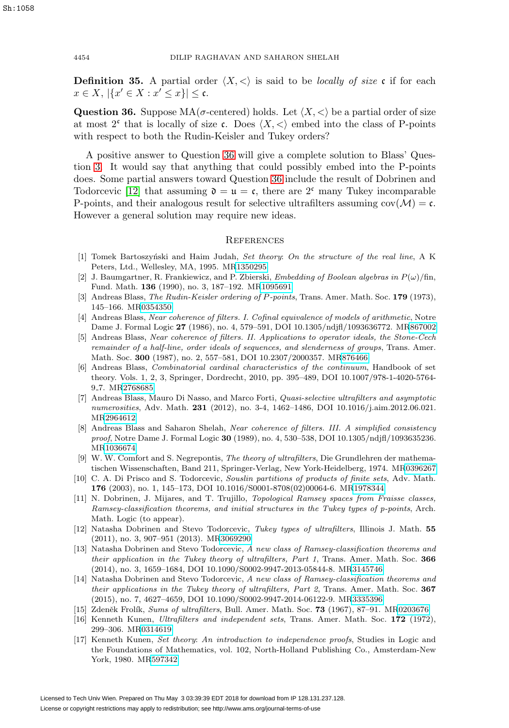**Definition 35.** A partial order  $\langle X, \langle \rangle$  is said to be *locally of size* c if for each  $x \in X, |\{x' \in X : x' \leq x\}| \leq \mathfrak{c}.$ 

<span id="page-21-16"></span>**Question 36.** Suppose  $MA(\sigma\text{-centered})$  holds. Let  $\langle X, \langle \rangle$  be a partial order of size at most  $2^c$  that is locally of size c. Does  $\langle X, \langle \rangle$  embed into the class of P-points with respect to both the Rudin-Keisler and Tukey orders?

A positive answer to Question [36](#page-21-16) will give a complete solution to Blass' Question [3.](#page-2-1) It would say that anything that could possibly embed into the P-points does. Some partial answers toward Question [36](#page-21-16) include the result of Dobrinen and Todorcevic [\[12\]](#page-21-8) that assuming  $\mathfrak{d} = \mathfrak{u} = \mathfrak{c}$ , there are 2<sup>c</sup> many Tukey incomparable P-points, and their analogous result for selective ultrafilters assuming  $cov(\mathcal{M}) = \mathfrak{c}$ . However a general solution may require new ideas.

## **REFERENCES**

- <span id="page-21-6"></span>[1] Tomek Bartoszyński and Haim Judah, Set theory: On the structure of the real line, A  $K$ Peters, Ltd., Wellesley, MA, 1995. M[R1350295](http://www.ams.org/mathscinet-getitem?mr=1350295)
- <span id="page-21-13"></span>[2] J. Baumgartner, R. Frankiewicz, and P. Zbierski, *Embedding of Boolean algebras in P(* $\omega$ *)*/fin, Fund. Math. **136** (1990), no. 3, 187–192. M[R1095691](http://www.ams.org/mathscinet-getitem?mr=1095691)
- <span id="page-21-5"></span>[3] Andreas Blass, The Rudin-Keisler ordering of P-points, Trans. Amer. Math. Soc. **179** (1973), 145–166. M[R0354350](http://www.ams.org/mathscinet-getitem?mr=0354350)
- <span id="page-21-1"></span>[4] Andreas Blass, Near coherence of filters. I. Cofinal equivalence of models of arithmetic, Notre Dame J. Formal Logic **27** (1986), no. 4, 579–591, DOI 10.1305/ndjfl/1093636772. M[R867002](http://www.ams.org/mathscinet-getitem?mr=867002)
- <span id="page-21-2"></span>[5] Andreas Blass, Near coherence of filters. II. Applications to operator ideals, the Stone-Cech remainder of a half-line, order ideals of sequences, and slenderness of groups, Trans. Amer. Math. Soc. **300** (1987), no. 2, 557–581, DOI 10.2307/2000357. M[R876466](http://www.ams.org/mathscinet-getitem?mr=876466)
- <span id="page-21-7"></span>[6] Andreas Blass, Combinatorial cardinal characteristics of the continuum, Handbook of set theory. Vols. 1, 2, 3, Springer, Dordrecht, 2010, pp. 395–489, DOI 10.1007/978-1-4020-5764- 9 7. M[R2768685](http://www.ams.org/mathscinet-getitem?mr=2768685)
- <span id="page-21-14"></span>[7] Andreas Blass, Mauro Di Nasso, and Marco Forti, Quasi-selective ultrafilters and asymptotic numerosities, Adv. Math. **231** (2012), no. 3-4, 1462–1486, DOI 10.1016/j.aim.2012.06.021. M[R2964612](http://www.ams.org/mathscinet-getitem?mr=2964612)
- <span id="page-21-3"></span>[8] Andreas Blass and Saharon Shelah, Near coherence of filters. III. A simplified consistency proof, Notre Dame J. Formal Logic **30** (1989), no. 4, 530–538, DOI 10.1305/ndjfl/1093635236. M[R1036674](http://www.ams.org/mathscinet-getitem?mr=1036674)
- <span id="page-21-12"></span>[9] W. W. Comfort and S. Negrepontis, The theory of ultrafilters, Die Grundlehren der mathematischen Wissenschaften, Band 211, Springer-Verlag, New York-Heidelberg, 1974. M[R0396267](http://www.ams.org/mathscinet-getitem?mr=0396267)
- <span id="page-21-15"></span>[10] C. A. Di Prisco and S. Todorcevic, Souslin partitions of products of finite sets, Adv. Math. **176** (2003), no. 1, 145–173, DOI 10.1016/S0001-8708(02)00064-6. M[R1978344](http://www.ams.org/mathscinet-getitem?mr=1978344)
- <span id="page-21-10"></span>[11] N. Dobrinen, J. Mijares, and T. Trujillo, Topological Ramsey spaces from Fraisse classes, Ramsey-classification theorems, and initial structures in the Tukey types of p-points, Arch. Math. Logic (to appear).
- <span id="page-21-8"></span>[12] Natasha Dobrinen and Stevo Todorcevic, Tukey types of ultrafilters, Illinois J. Math. **55** (2011), no. 3, 907–951 (2013). M[R3069290](http://www.ams.org/mathscinet-getitem?mr=3069290)
- [13] Natasha Dobrinen and Stevo Todorcevic, A new class of Ramsey-classification theorems and their application in the Tukey theory of ultrafilters, Part 1, Trans. Amer. Math. Soc. **366** (2014), no. 3, 1659–1684, DOI 10.1090/S0002-9947-2013-05844-8. M[R3145746](http://www.ams.org/mathscinet-getitem?mr=3145746)
- <span id="page-21-9"></span>[14] Natasha Dobrinen and Stevo Todorcevic, A new class of Ramsey-classification theorems and their applications in the Tukey theory of ultrafilters, Part 2, Trans. Amer. Math. Soc. **367** (2015), no. 7, 4627–4659, DOI 10.1090/S0002-9947-2014-06122-9. M[R3335396](http://www.ams.org/mathscinet-getitem?mr=3335396)
- <span id="page-21-0"></span>[15] Zdeněk Frolík, Sums of ultrafilters, Bull. Amer. Math. Soc. **73** (1967), 87–91. M[R0203676](http://www.ams.org/mathscinet-getitem?mr=0203676)
- <span id="page-21-4"></span>[16] Kenneth Kunen, Ultrafilters and independent sets, Trans. Amer. Math. Soc. **172** (1972), 299–306. M[R0314619](http://www.ams.org/mathscinet-getitem?mr=0314619)
- <span id="page-21-11"></span>[17] Kenneth Kunen, Set theory: An introduction to independence proofs, Studies in Logic and the Foundations of Mathematics, vol. 102, North-Holland Publishing Co., Amsterdam-New York, 1980. M[R597342](http://www.ams.org/mathscinet-getitem?mr=597342)